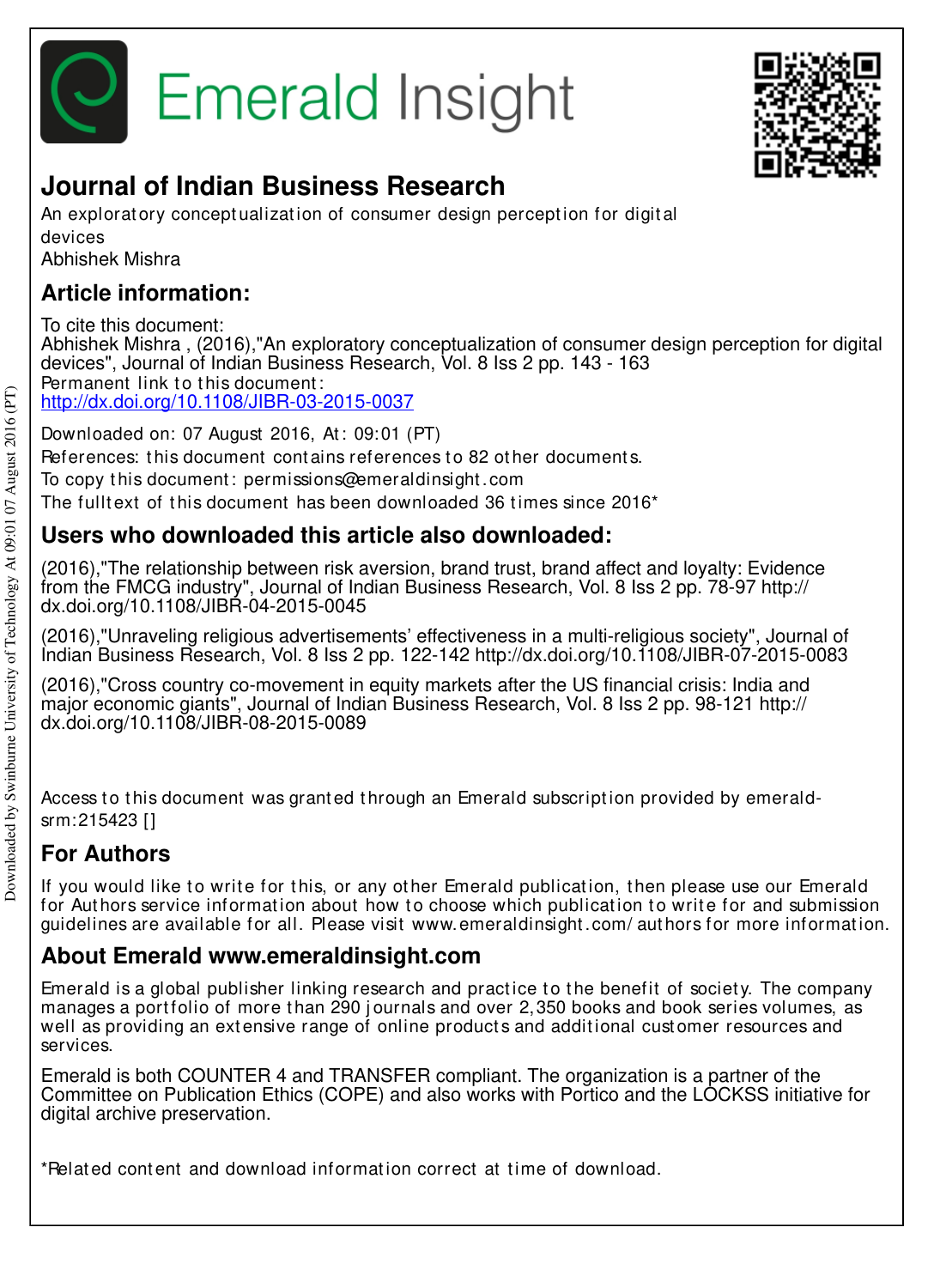



# **Journal of Indian Business Research**

An explorat ory concept ualization of consumer design perception for digital devices

Abhishek Mishra

### **Article information:**

To cite this document: Abhishek Mishra , (2016),"An exploratory conceptualization of consumer design perception for digital devices", Journal of Indian Business Research, Vol. 8 Iss 2 pp. 143 - 163 Permanent link to this document: http://dx.doi.org/10.1108/JIBR-03-2015-0037

Downloaded on: 07 August 2016, At: 09:01 (PT) References: this document contains references to 82 other documents. To copy t his document : permissions@emeraldinsight .com

The fulltext of this document has been downloaded  $36$  times since  $2016<sup>*</sup>$ 

### **Users who downloaded this article also downloaded:**

(2016),"The relationship between risk aversion, brand trust, brand affect and loyalty: Evidence from the FMCG industry", Journal of Indian Business Research, Vol. 8 Iss 2 pp. 78-97 http:// dx.doi.org/10.1108/JIBR-04-2015-0045

(2016),"Unraveling religious advertisements' effectiveness in a multi-religious society", Journal of Indian Business Research, Vol. 8 Iss 2 pp. 122-142 http://dx.doi.org/10.1108/JIBR-07-2015-0083

(2016),"Cross country co-movement in equity markets after the US financial crisis: India and major economic giants", Journal of Indian Business Research, Vol. 8 Iss 2 pp. 98-121 http:// dx.doi.org/10.1108/JIBR-08-2015-0089

Access to this document was granted through an Emerald subscription provided by emeraldsrm:215423 []

## **For Authors**

If you would like to write for this, or any other Emerald publication, then please use our Emerald for Authors service information about how to choose which publication to write for and submission guidelines are available for all. Please visit www.emeraldinsight .com/ aut hors for more informat ion.

### **About Emerald www.emeraldinsight.com**

Emerald is a global publisher linking research and practice to the benefit of society. The company manages a portfolio of more than 290 journals and over 2,350 books and book series volumes, as well as providing an extensive range of online products and additional customer resources and services.

Emerald is both COUNTER 4 and TRANSFER compliant. The organization is a partner of the Committee on Publication Ethics (COPE) and also works with Portico and the LOCKSS initiative for digital archive preservation.

\*Relat ed cont ent and download informat ion correct at t ime of download.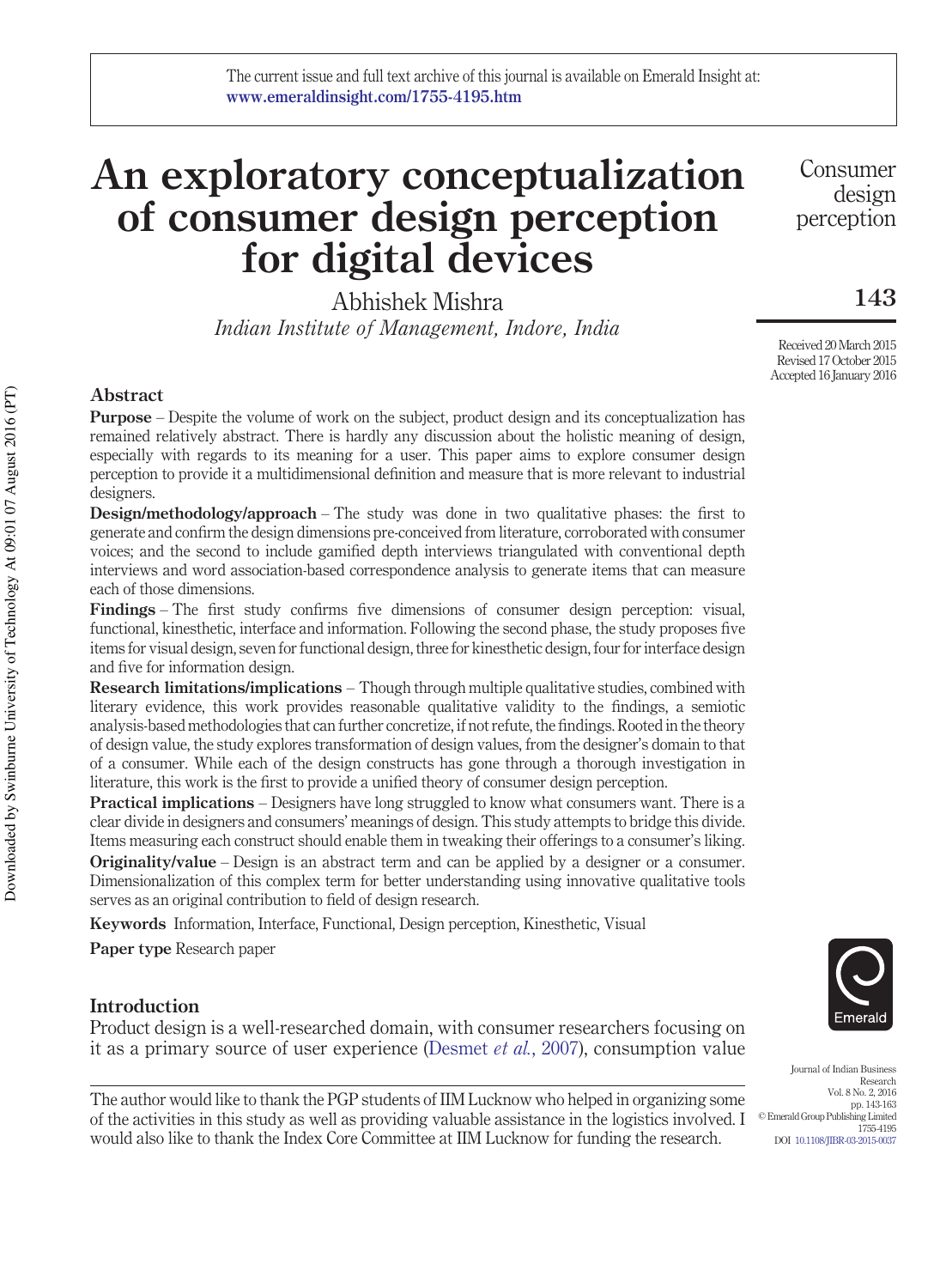# **An exploratory conceptualization of consumer design perception for digital devices**

Abhishek Mishra *Indian Institute of Management, Indore, India*

Consumer design perception

**143**

Received 20 March 2015 Revised 17 October 2015 Accepted 16 January 2016

#### **Abstract**

**Purpose** – Despite the volume of work on the subject, product design and its conceptualization has remained relatively abstract. There is hardly any discussion about the holistic meaning of design, especially with regards to its meaning for a user. This paper aims to explore consumer design perception to provide it a multidimensional definition and measure that is more relevant to industrial designers.

**Design/methodology/approach** – The study was done in two qualitative phases: the first to generate and confirm the design dimensions pre-conceived from literature, corroborated with consumer voices; and the second to include gamified depth interviews triangulated with conventional depth interviews and word association-based correspondence analysis to generate items that can measure each of those dimensions.

**Findings** – The first study confirms five dimensions of consumer design perception: visual, functional, kinesthetic, interface and information. Following the second phase, the study proposes five items for visual design, seven for functional design, three for kinesthetic design, four for interface design and five for information design.

**Research limitations/implications** – Though through multiple qualitative studies, combined with literary evidence, this work provides reasonable qualitative validity to the findings, a semiotic analysis-based methodologies that can further concretize, if not refute, the findings. Rooted in the theory of design value, the study explores transformation of design values, from the designer's domain to that of a consumer. While each of the design constructs has gone through a thorough investigation in literature, this work is the first to provide a unified theory of consumer design perception.

**Practical implications** – Designers have long struggled to know what consumers want. There is a clear divide in designers and consumers' meanings of design. This study attempts to bridge this divide. Items measuring each construct should enable them in tweaking their offerings to a consumer's liking. **Originality/value** – Design is an abstract term and can be applied by a designer or a consumer. Dimensionalization of this complex term for better understanding using innovative qualitative tools serves as an original contribution to field of design research.

**Keywords** Information, Interface, Functional, Design perception, Kinesthetic, Visual

**Paper type** Research paper

#### **Introduction**

Product design is a well-researched domain, with consumer researchers focusing on it as a primary source of user experience (Desmet *et al.*, 2007), consumption value

The author would like to thank the PGP students of IIM Lucknow who helped in organizing some of the activities in this study as well as providing valuable assistance in the logistics involved. I would also like to thank the Index Core Committee at IIM Lucknow for funding the research.



Journal of Indian Business Research Vol. 8 No. 2, 2016 pp. 143-163 © Emerald Group Publishing Limited 1755-4195 DOI 10.1108/JIBR-03-2015-0037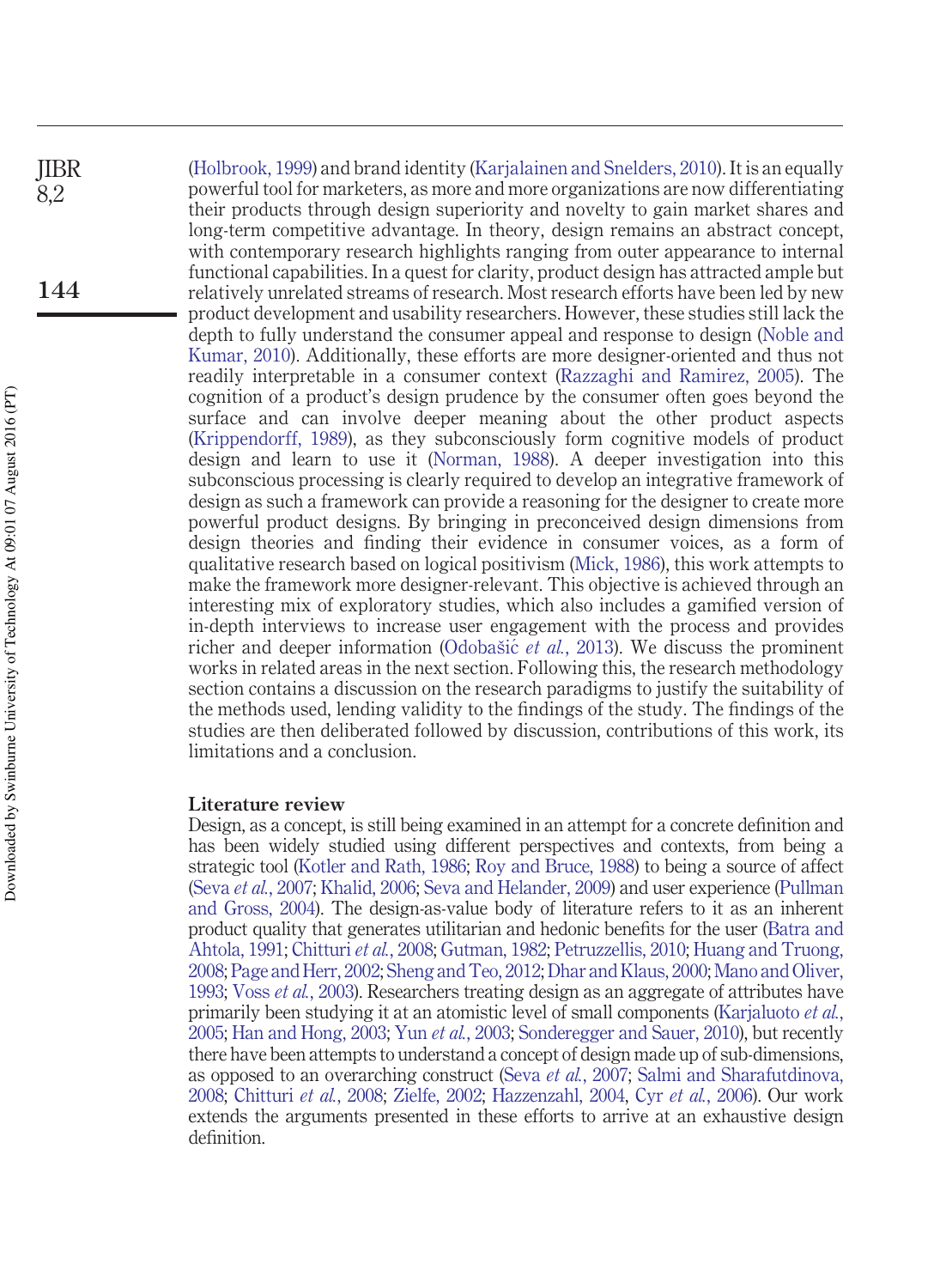(Holbrook, 1999) and brand identity (Karjalainen and Snelders, 2010). It is an equally powerful tool for marketers, as more and more organizations are now differentiating their products through design superiority and novelty to gain market shares and long-term competitive advantage. In theory, design remains an abstract concept, with contemporary research highlights ranging from outer appearance to internal functional capabilities. In a quest for clarity, product design has attracted ample but relatively unrelated streams of research. Most research efforts have been led by new product development and usability researchers. However, these studies still lack the depth to fully understand the consumer appeal and response to design (Noble and Kumar, 2010). Additionally, these efforts are more designer-oriented and thus not readily interpretable in a consumer context (Razzaghi and Ramirez, 2005). The cognition of a product's design prudence by the consumer often goes beyond the surface and can involve deeper meaning about the other product aspects (Krippendorff, 1989), as they subconsciously form cognitive models of product design and learn to use it (Norman, 1988). A deeper investigation into this subconscious processing is clearly required to develop an integrative framework of design as such a framework can provide a reasoning for the designer to create more powerful product designs. By bringing in preconceived design dimensions from design theories and finding their evidence in consumer voices, as a form of qualitative research based on logical positivism (Mick, 1986), this work attempts to make the framework more designer-relevant. This objective is achieved through an interesting mix of exploratory studies, which also includes a gamified version of in-depth interviews to increase user engagement with the process and provides richer and deeper information (Odobašić et al., 2013). We discuss the prominent works in related areas in the next section. Following this, the research methodology section contains a discussion on the research paradigms to justify the suitability of the methods used, lending validity to the findings of the study. The findings of the studies are then deliberated followed by discussion, contributions of this work, its limitations and a conclusion. JIBR **144**

#### **Literature review**

Design, as a concept, is still being examined in an attempt for a concrete definition and has been widely studied using different perspectives and contexts, from being a strategic tool (Kotler and Rath, 1986; Roy and Bruce, 1988) to being a source of affect (Seva *et al.*, 2007; Khalid, 2006; Seva and Helander, 2009) and user experience (Pullman and Gross, 2004). The design-as-value body of literature refers to it as an inherent product quality that generates utilitarian and hedonic benefits for the user (Batra and Ahtola, 1991; Chitturi *et al.*, 2008; Gutman, 1982; Petruzzellis, 2010; Huang and Truong, 2008; Page and Herr, 2002; Sheng and Teo, 2012; Dhar and Klaus, 2000; Mano and Oliver, 1993; Voss *et al.*, 2003). Researchers treating design as an aggregate of attributes have primarily been studying it at an atomistic level of small components (Karjaluoto *et al.*, 2005; Han and Hong, 2003; Yun *et al.*, 2003; Sonderegger and Sauer, 2010), but recently there have been attempts to understand a concept of design made up of sub-dimensions, as opposed to an overarching construct (Seva *et al.*, 2007; Salmi and Sharafutdinova, 2008; Chitturi *et al.*, 2008; Zielfe, 2002; Hazzenzahl, 2004, Cyr *et al.*, 2006). Our work extends the arguments presented in these efforts to arrive at an exhaustive design definition.

8,2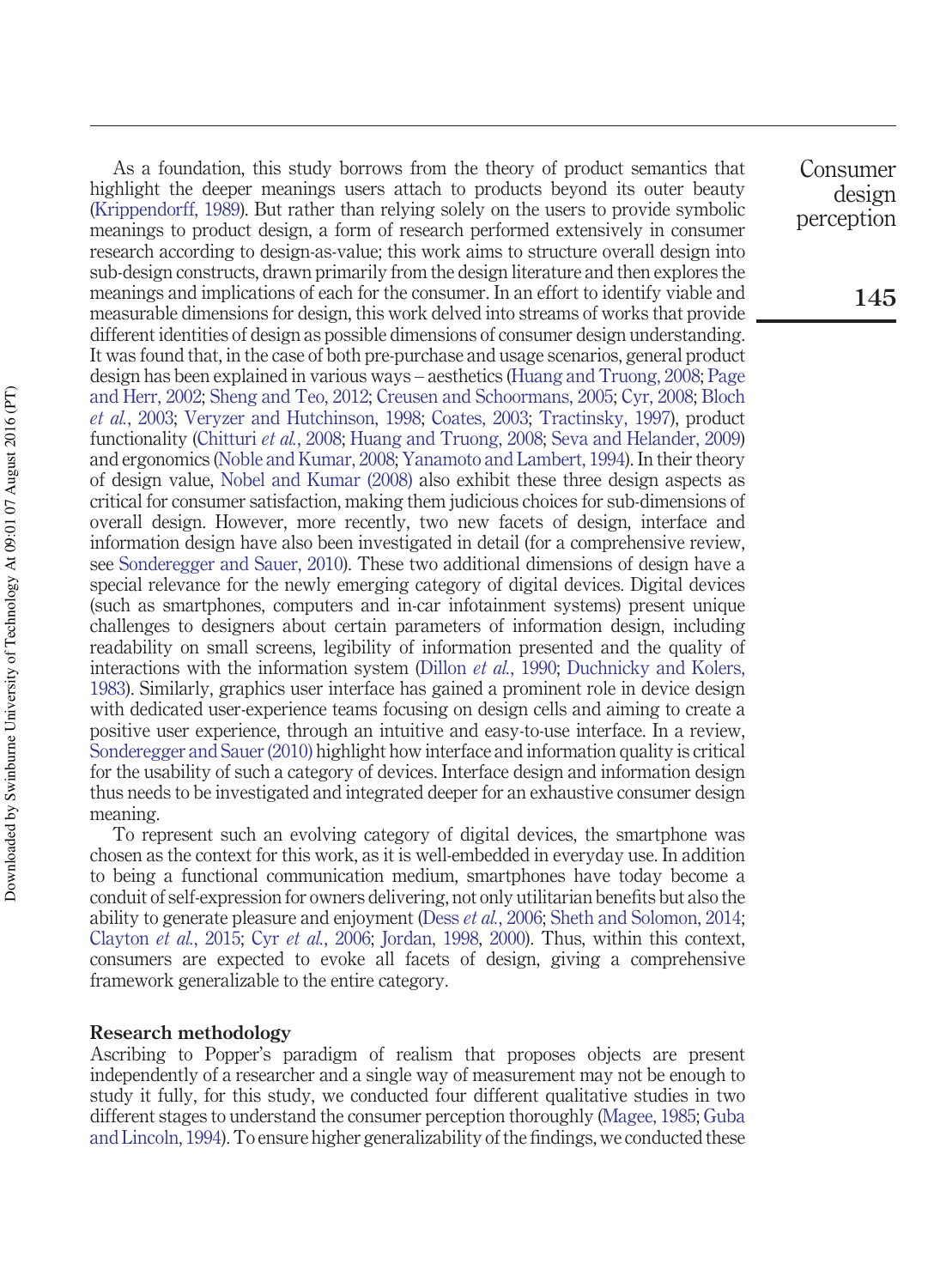As a foundation, this study borrows from the theory of product semantics that highlight the deeper meanings users attach to products beyond its outer beauty (Krippendorff, 1989). But rather than relying solely on the users to provide symbolic meanings to product design, a form of research performed extensively in consumer research according to design-as-value; this work aims to structure overall design into sub-design constructs, drawn primarily from the design literature and then explores the meanings and implications of each for the consumer. In an effort to identify viable and measurable dimensions for design, this work delved into streams of works that provide different identities of design as possible dimensions of consumer design understanding. It was found that, in the case of both pre-purchase and usage scenarios, general product design has been explained in various ways – aesthetics (Huang and Truong, 2008; Page and Herr, 2002; Sheng and Teo, 2012; Creusen and Schoormans, 2005; Cyr, 2008; Bloch *et al.*, 2003; Veryzer and Hutchinson, 1998; Coates, 2003; Tractinsky, 1997), product functionality (Chitturi *et al.*, 2008; Huang and Truong, 2008; Seva and Helander, 2009) and ergonomics (Noble and Kumar, 2008; Yanamoto and Lambert, 1994). In their theory of design value, Nobel and Kumar (2008) also exhibit these three design aspects as critical for consumer satisfaction, making them judicious choices for sub-dimensions of overall design. However, more recently, two new facets of design, interface and information design have also been investigated in detail (for a comprehensive review, see Sonderegger and Sauer, 2010). These two additional dimensions of design have a special relevance for the newly emerging category of digital devices. Digital devices (such as smartphones, computers and in-car infotainment systems) present unique challenges to designers about certain parameters of information design, including readability on small screens, legibility of information presented and the quality of interactions with the information system (Dillon *et al.*, 1990; Duchnicky and Kolers, 1983). Similarly, graphics user interface has gained a prominent role in device design with dedicated user-experience teams focusing on design cells and aiming to create a positive user experience, through an intuitive and easy-to-use interface. In a review, Sonderegger and Sauer (2010) highlight how interface and information quality is critical for the usability of such a category of devices. Interface design and information design thus needs to be investigated and integrated deeper for an exhaustive consumer design meaning.

To represent such an evolving category of digital devices, the smartphone was chosen as the context for this work, as it is well-embedded in everyday use. In addition to being a functional communication medium, smartphones have today become a conduit of self-expression for owners delivering, not only utilitarian benefits but also the ability to generate pleasure and enjoyment (Dess *et al.*, 2006; Sheth and Solomon, 2014; Clayton *et al.*, 2015; Cyr *et al.*, 2006; Jordan, 1998, 2000). Thus, within this context, consumers are expected to evoke all facets of design, giving a comprehensive framework generalizable to the entire category.

#### **Research methodology**

Ascribing to Popper's paradigm of realism that proposes objects are present independently of a researcher and a single way of measurement may not be enough to study it fully, for this study, we conducted four different qualitative studies in two different stages to understand the consumer perception thoroughly (Magee, 1985; Guba and Lincoln, 1994). To ensure higher generalizability of the findings, we conducted these

Consumer design perception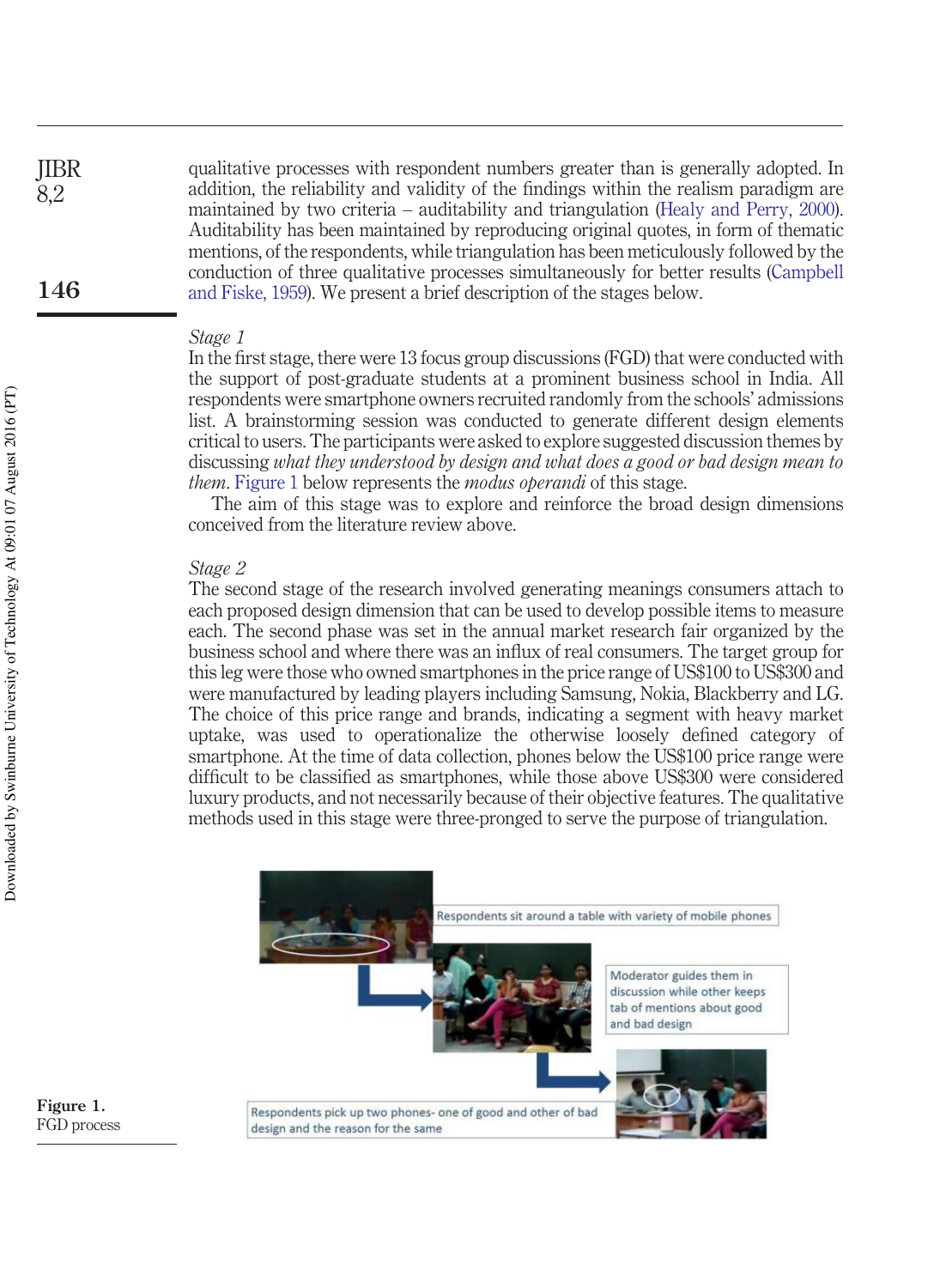qualitative processes with respondent numbers greater than is generally adopted. In addition, the reliability and validity of the findings within the realism paradigm are maintained by two criteria – auditability and triangulation (Healy and Perry, 2000). Auditability has been maintained by reproducing original quotes, in form of thematic mentions, of the respondents, while triangulation has been meticulously followed by the conduction of three qualitative processes simultaneously for better results (Campbell and Fiske, 1959). We present a brief description of the stages below. JIBR **146**

#### *Stage 1*

In the first stage, there were 13 focus group discussions (FGD) that were conducted with the support of post-graduate students at a prominent business school in India. All respondents were smartphone owners recruited randomly from the schools' admissions list. A brainstorming session was conducted to generate different design elements critical to users. The participants were asked to explore suggested discussion themes by discussing *what they understood by design and what does a good or bad design mean to them*. Figure 1 below represents the *modus operandi* of this stage.

The aim of this stage was to explore and reinforce the broad design dimensions conceived from the literature review above.

#### *Stage 2*

The second stage of the research involved generating meanings consumers attach to each proposed design dimension that can be used to develop possible items to measure each. The second phase was set in the annual market research fair organized by the business school and where there was an influx of real consumers. The target group for this leg were those who owned smartphones in the price range of US\$100 to US\$300 and were manufactured by leading players including Samsung, Nokia, Blackberry and LG. The choice of this price range and brands, indicating a segment with heavy market uptake, was used to operationalize the otherwise loosely defined category of smartphone. At the time of data collection, phones below the US\$100 price range were difficult to be classified as smartphones, while those above US\$300 were considered luxury products, and not necessarily because of their objective features. The qualitative methods used in this stage were three-pronged to serve the purpose of triangulation.



**Figure 1.** FGD process

8,2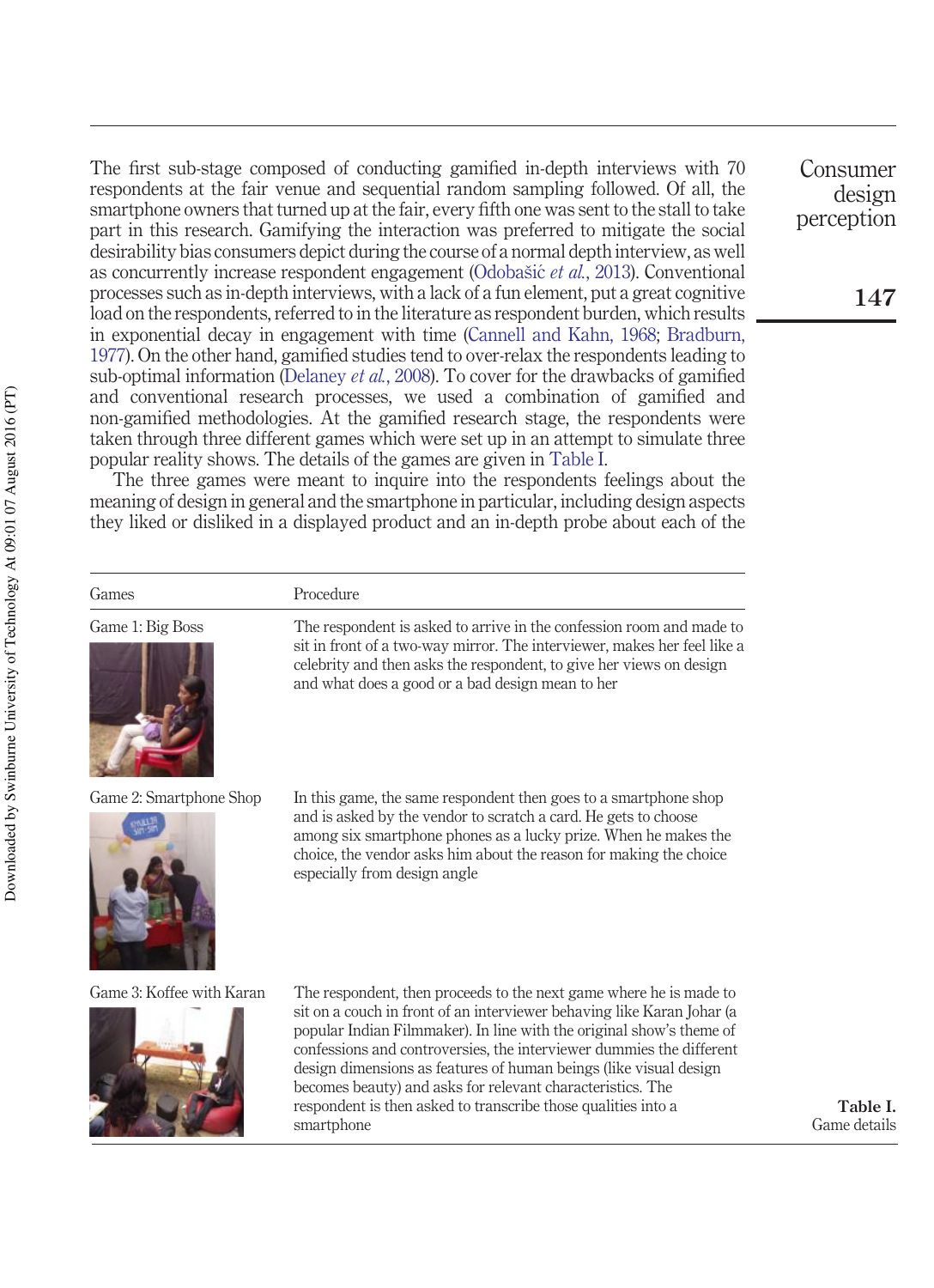The first sub-stage composed of conducting gamified in-depth interviews with 70 respondents at the fair venue and sequential random sampling followed. Of all, the smartphone owners that turned up at the fair, every fifth one was sent to the stall to take part in this research. Gamifying the interaction was preferred to mitigate the social desirability bias consumers depict during the course of a normal depth interview, as well as concurrently increase respondent engagement (Odobašic´ *et al.*, 2013). Conventional processes such as in-depth interviews, with a lack of a fun element, put a great cognitive load on the respondents, referred to in the literature as respondent burden, which results in exponential decay in engagement with time (Cannell and Kahn, 1968; Bradburn, 1977). On the other hand, gamified studies tend to over-relax the respondents leading to sub-optimal information (Delaney *et al.*, 2008). To cover for the drawbacks of gamified and conventional research processes, we used a combination of gamified and non-gamified methodologies. At the gamified research stage, the respondents were taken through three different games which were set up in an attempt to simulate three popular reality shows. The details of the games are given in Table I.

The three games were meant to inquire into the respondents feelings about the meaning of design in general and the smartphone in particular, including design aspects they liked or disliked in a displayed product and an in-depth probe about each of the

Games Procedure

Game 1: Big Boss The respondent is asked to arrive in the confession room and made to sit in front of a two-way mirror. The interviewer, makes her feel like a celebrity and then asks the respondent, to give her views on design and what does a good or a bad design mean to her



Game 2: Smartphone Shop In this game, the same respondent then goes to a smartphone shop and is asked by the vendor to scratch a card. He gets to choose among six smartphone phones as a lucky prize. When he makes the choice, the vendor asks him about the reason for making the choice especially from design angle



Game 3: Koffee with Karan The respondent, then proceeds to the next game where he is made to sit on a couch in front of an interviewer behaving like Karan Johar (a popular Indian Filmmaker). In line with the original show's theme of confessions and controversies, the interviewer dummies the different design dimensions as features of human beings (like visual design becomes beauty) and asks for relevant characteristics. The respondent is then asked to transcribe those qualities into a smartphone

**Table I.** Game details

Consumer design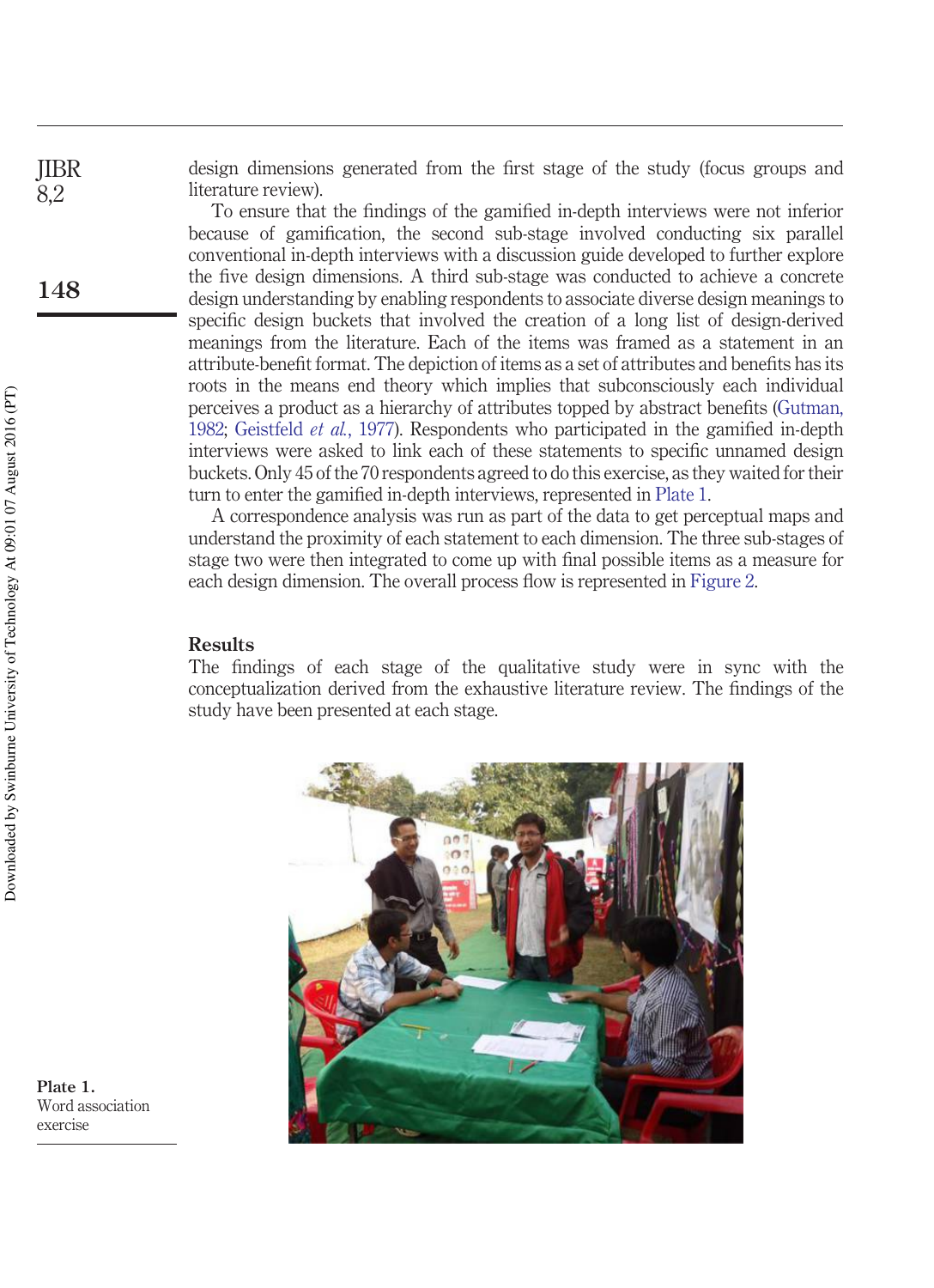design dimensions generated from the first stage of the study (focus groups and literature review).

To ensure that the findings of the gamified in-depth interviews were not inferior because of gamification, the second sub-stage involved conducting six parallel conventional in-depth interviews with a discussion guide developed to further explore the five design dimensions. A third sub-stage was conducted to achieve a concrete design understanding by enabling respondents to associate diverse design meanings to specific design buckets that involved the creation of a long list of design-derived meanings from the literature. Each of the items was framed as a statement in an attribute-benefit format. The depiction of items as a set of attributes and benefits has its roots in the means end theory which implies that subconsciously each individual perceives a product as a hierarchy of attributes topped by abstract benefits (Gutman, 1982; Geistfeld *et al.*, 1977). Respondents who participated in the gamified in-depth interviews were asked to link each of these statements to specific unnamed design buckets. Only 45 of the 70 respondents agreed to do this exercise, as they waited for their turn to enter the gamified in-depth interviews, represented in Plate 1.

A correspondence analysis was run as part of the data to get perceptual maps and understand the proximity of each statement to each dimension. The three sub-stages of stage two were then integrated to come up with final possible items as a measure for each design dimension. The overall process flow is represented in Figure 2.

#### **Results**

The findings of each stage of the qualitative study were in sync with the conceptualization derived from the exhaustive literature review. The findings of the study have been presented at each stage.



**Plate 1.** Word association exercise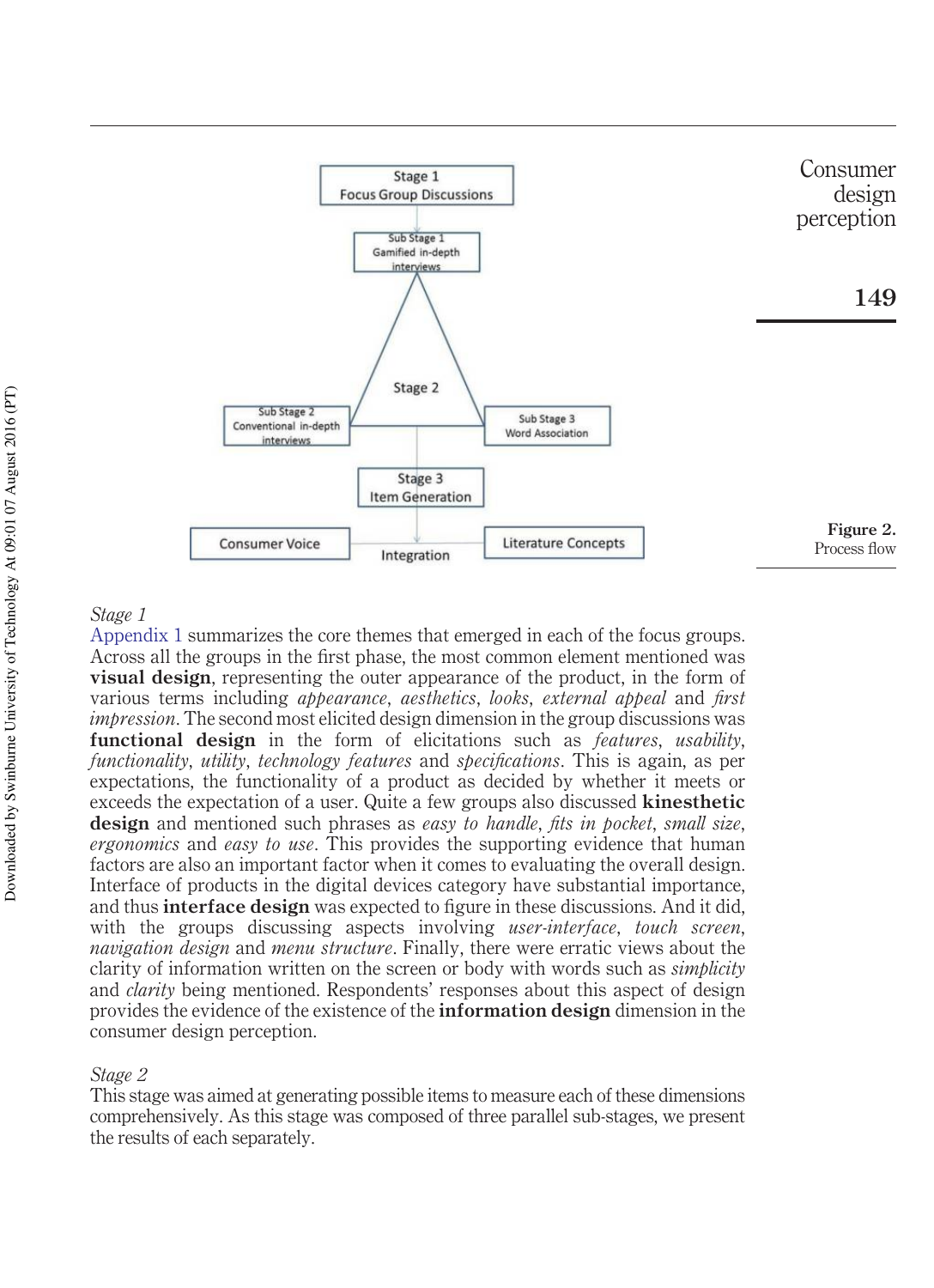

#### *Stage 1*

Appendix 1 summarizes the core themes that emerged in each of the focus groups. Across all the groups in the first phase, the most common element mentioned was **visual design**, representing the outer appearance of the product, in the form of various terms including *appearance*, *aesthetics*, *looks*, *external appeal* and *first impression*. The second most elicited design dimension in the group discussions was **functional design** in the form of elicitations such as *features*, *usability*, *functionality*, *utility*, *technology features* and *specifications*. This is again, as per expectations, the functionality of a product as decided by whether it meets or exceeds the expectation of a user. Quite a few groups also discussed **kinesthetic design** and mentioned such phrases as *easy to handle*, *fits in pocket*, *small size*, *ergonomics* and *easy to use*. This provides the supporting evidence that human factors are also an important factor when it comes to evaluating the overall design. Interface of products in the digital devices category have substantial importance, and thus **interface design** was expected to figure in these discussions. And it did, with the groups discussing aspects involving *user-interface*, *touch screen*, *navigation design* and *menu structure*. Finally, there were erratic views about the clarity of information written on the screen or body with words such as *simplicity* and *clarity* being mentioned. Respondents' responses about this aspect of design provides the evidence of the existence of the **information design** dimension in the consumer design perception.

#### *Stage 2*

This stage was aimed at generating possible items to measure each of these dimensions comprehensively. As this stage was composed of three parallel sub-stages, we present the results of each separately.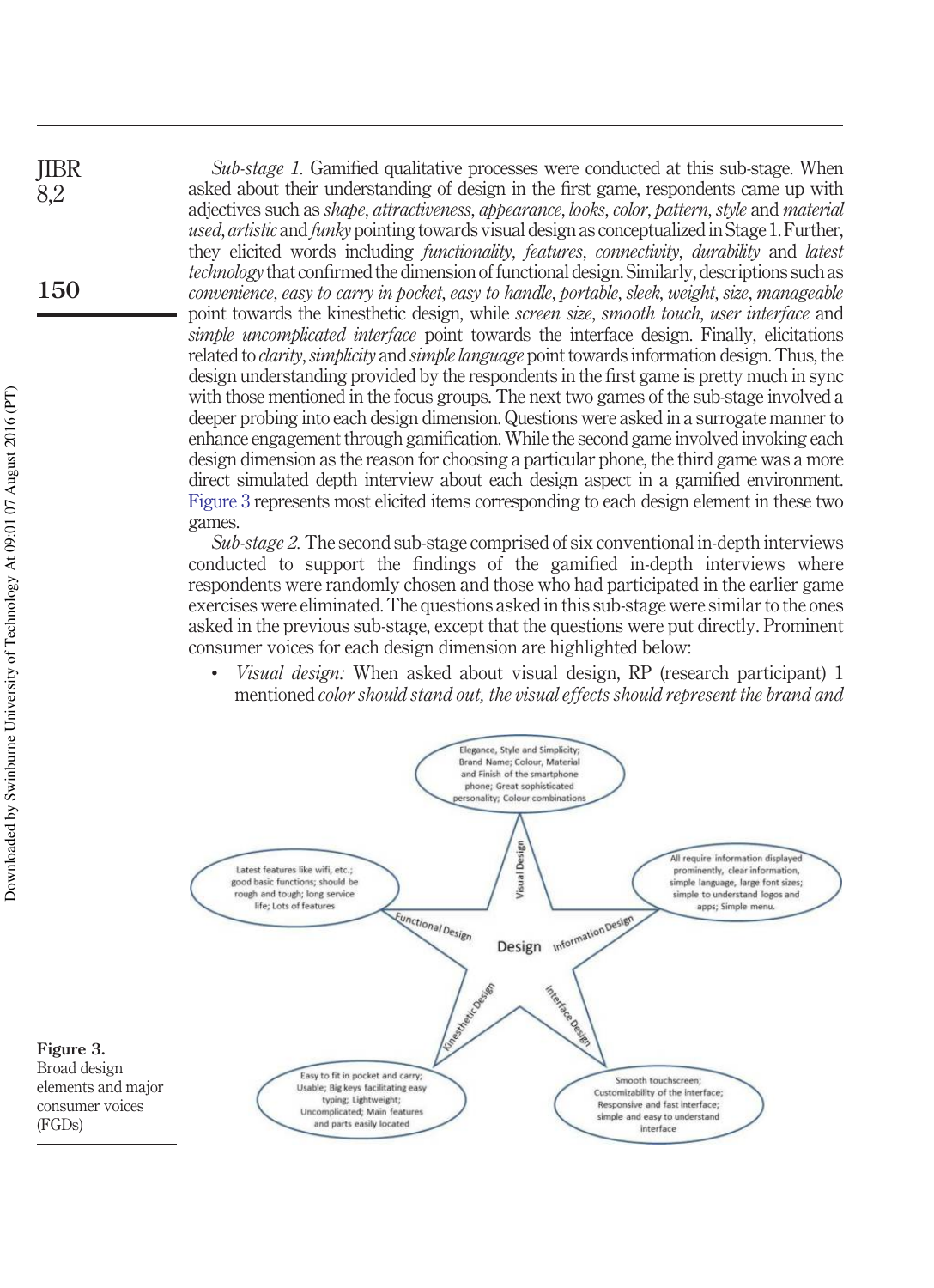*Sub-stage 1.* Gamified qualitative processes were conducted at this sub-stage. When asked about their understanding of design in the first game, respondents came up with adjectives such as *shape*, *attractiveness*, *appearance*, *looks*, *color*, *pattern*, *style* and *material used*, *artistic* and *funky* pointing towards visual design as conceptualized in Stage 1. Further, they elicited words including *functionality*, *features*, *connectivity*, *durability* and *latest technology* that confirmed the dimension of functional design. Similarly, descriptions such as *convenience*, *easy to carry in pocket*, *easy to handle*, *portable*, *sleek*, *weight*, *size*, *manageable* point towards the kinesthetic design, while *screen size*, *smooth touch*, *user interface* and *simple uncomplicated interface* point towards the interface design. Finally, elicitations related to *clarity*,*simplicity* and *simple language* point towards information design. Thus, the design understanding provided by the respondents in the first game is pretty much in sync with those mentioned in the focus groups. The next two games of the sub-stage involved a deeper probing into each design dimension. Questions were asked in a surrogate manner to enhance engagement through gamification. While the second game involved invoking each design dimension as the reason for choosing a particular phone, the third game was a more direct simulated depth interview about each design aspect in a gamified environment. Figure 3 represents most elicited items corresponding to each design element in these two games.

*Sub-stage 2.* The second sub-stage comprised of six conventional in-depth interviews conducted to support the findings of the gamified in-depth interviews where respondents were randomly chosen and those who had participated in the earlier game exercises were eliminated. The questions asked in this sub-stage were similar to the ones asked in the previous sub-stage, except that the questions were put directly. Prominent consumer voices for each design dimension are highlighted below:

• *Visual design:* When asked about visual design, RP (research participant) 1 mentioned *color should stand out, the visual effects should represent the brand and*



(FGDs)

**150**

JIBR 8,2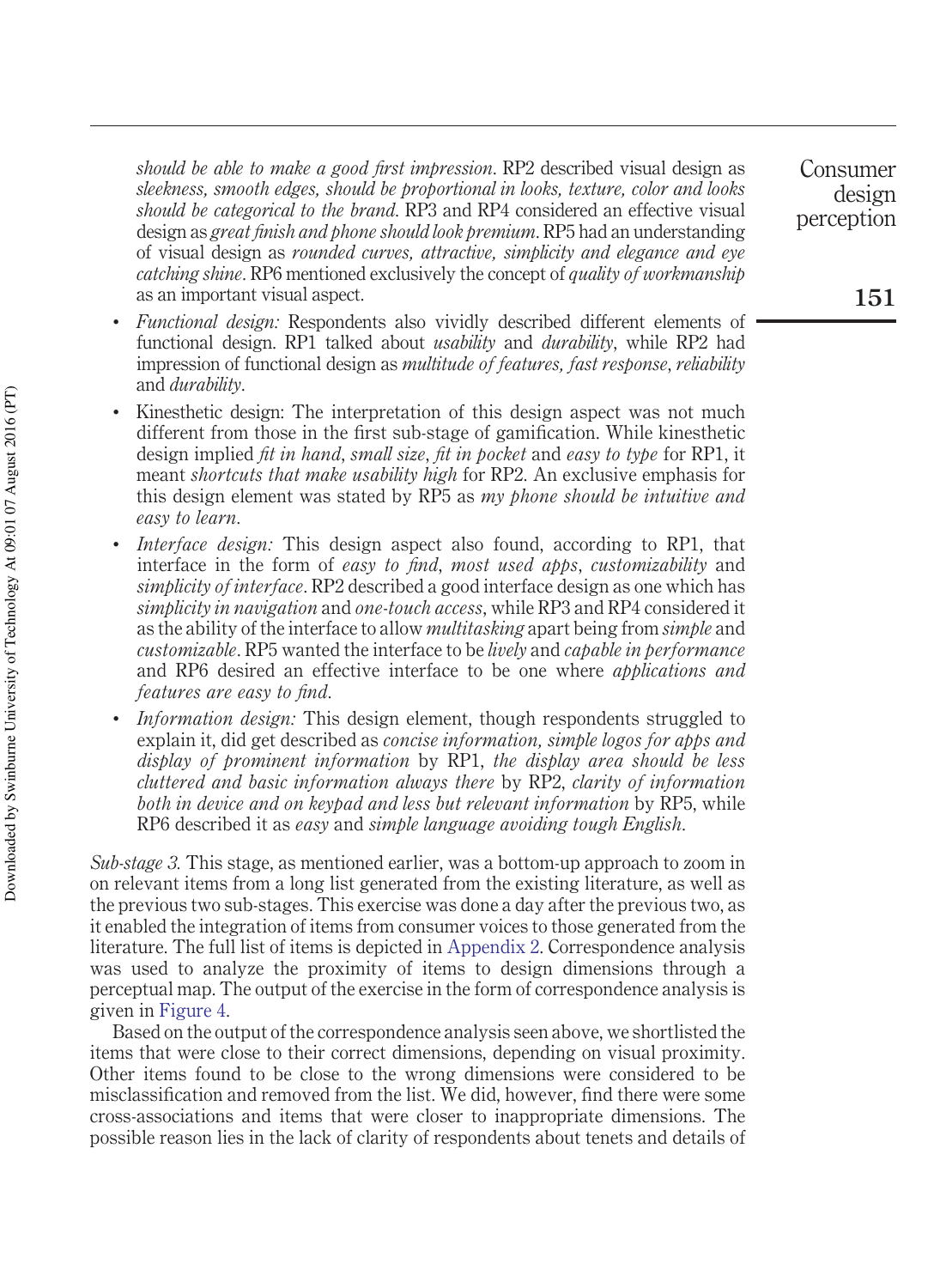*should be able to make a good first impression*. RP2 described visual design as *sleekness, smooth edges, should be proportional in looks, texture, color and looks should be categorical to the brand*. RP3 and RP4 considered an effective visual design as *great finish and phone should look premium*. RP5 had an understanding of visual design as *rounded curves, attractive, simplicity and elegance and eye catching shine*. RP6 mentioned exclusively the concept of *quality of workmanship* as an important visual aspect.

- *Functional design:* Respondents also vividly described different elements of functional design. RP1 talked about *usability* and *durability*, while RP2 had impression of functional design as *multitude of features, fast response*, *reliability* and *durability*.
- Kinesthetic design: The interpretation of this design aspect was not much different from those in the first sub-stage of gamification. While kinesthetic design implied *fit in hand*, *small size*, *fit in pocket* and *easy to type* for RP1, it meant *shortcuts that make usability high* for RP2. An exclusive emphasis for this design element was stated by RP5 as *my phone should be intuitive and easy to learn*.
- *Interface design:* This design aspect also found, according to RP1, that interface in the form of *easy to find*, *most used apps*, *customizability* and *simplicity of interface*. RP2 described a good interface design as one which has *simplicity in navigation* and *one-touch access*, while RP3 and RP4 considered it as the ability of the interface to allow *multitasking* apart being from *simple* and *customizable*. RP5 wanted the interface to be *lively* and *capable in performance* and RP6 desired an effective interface to be one where *applications and features are easy to find*.
- *Information design:* This design element, though respondents struggled to explain it, did get described as *concise information, simple logos for apps and display of prominent information* by RP1, *the display area should be less cluttered and basic information always there* by RP2, *clarity of information both in device and on keypad and less but relevant information* by RP5, while RP6 described it as *easy* and *simple language avoiding tough English*.

*Sub-stage 3.* This stage, as mentioned earlier, was a bottom-up approach to zoom in on relevant items from a long list generated from the existing literature, as well as the previous two sub-stages. This exercise was done a day after the previous two, as it enabled the integration of items from consumer voices to those generated from the literature. The full list of items is depicted in Appendix 2. Correspondence analysis was used to analyze the proximity of items to design dimensions through a perceptual map. The output of the exercise in the form of correspondence analysis is given in Figure 4.

Based on the output of the correspondence analysis seen above, we shortlisted the items that were close to their correct dimensions, depending on visual proximity. Other items found to be close to the wrong dimensions were considered to be misclassification and removed from the list. We did, however, find there were some cross-associations and items that were closer to inappropriate dimensions. The possible reason lies in the lack of clarity of respondents about tenets and details of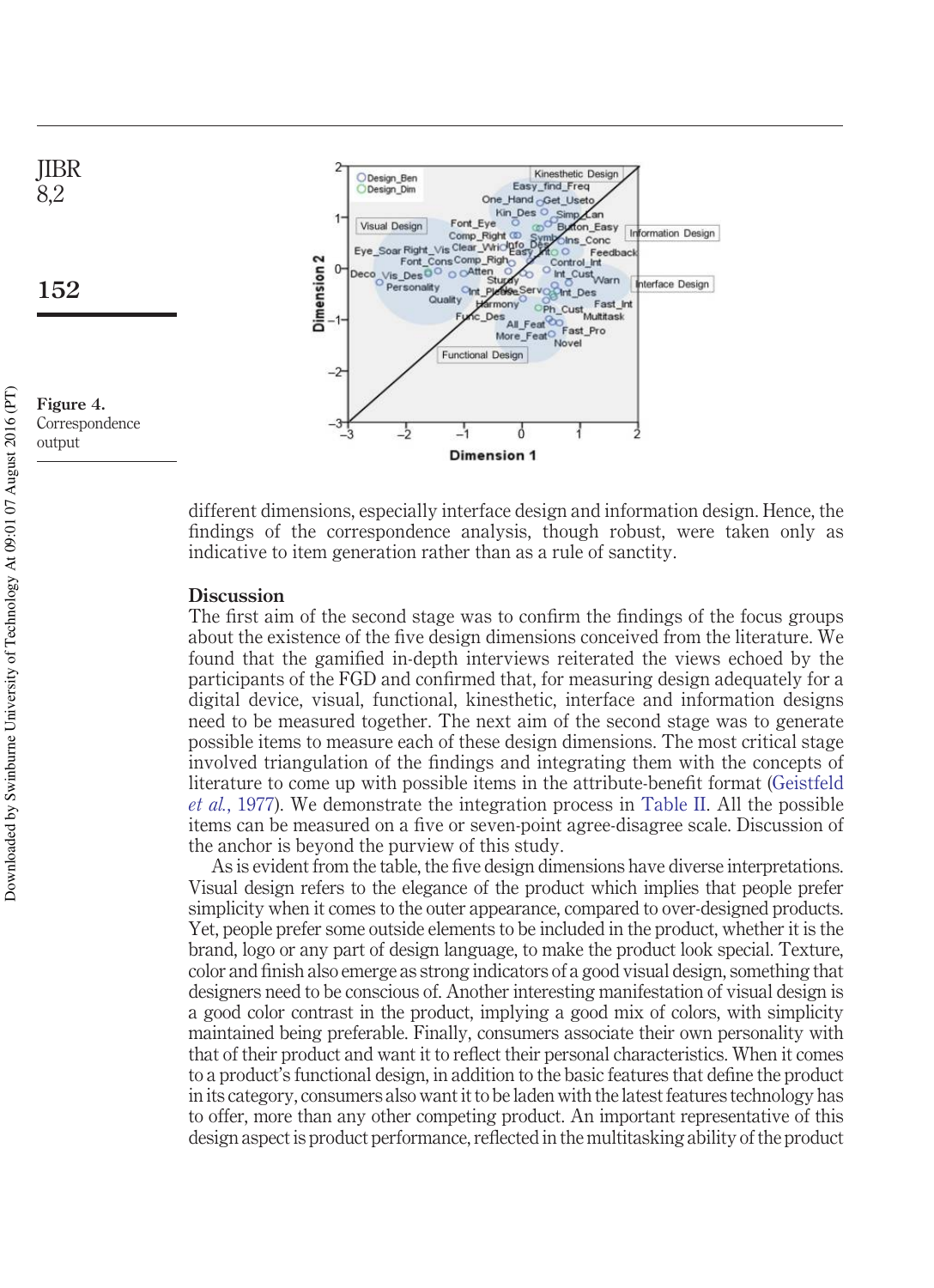

different dimensions, especially interface design and information design. Hence, the findings of the correspondence analysis, though robust, were taken only as indicative to item generation rather than as a rule of sanctity.

#### **Discussion**

The first aim of the second stage was to confirm the findings of the focus groups about the existence of the five design dimensions conceived from the literature. We found that the gamified in-depth interviews reiterated the views echoed by the participants of the FGD and confirmed that, for measuring design adequately for a digital device, visual, functional, kinesthetic, interface and information designs need to be measured together. The next aim of the second stage was to generate possible items to measure each of these design dimensions. The most critical stage involved triangulation of the findings and integrating them with the concepts of literature to come up with possible items in the attribute-benefit format (Geistfeld *et al.*, 1977). We demonstrate the integration process in Table II. All the possible items can be measured on a five or seven-point agree-disagree scale. Discussion of the anchor is beyond the purview of this study.

As is evident from the table, the five design dimensions have diverse interpretations. Visual design refers to the elegance of the product which implies that people prefer simplicity when it comes to the outer appearance, compared to over-designed products. Yet, people prefer some outside elements to be included in the product, whether it is the brand, logo or any part of design language, to make the product look special. Texture, color and finish also emerge as strong indicators of a good visual design, something that designers need to be conscious of. Another interesting manifestation of visual design is a good color contrast in the product, implying a good mix of colors, with simplicity maintained being preferable. Finally, consumers associate their own personality with that of their product and want it to reflect their personal characteristics. When it comes to a product's functional design, in addition to the basic features that define the product in its category, consumers also want it to be laden with the latest features technology has to offer, more than any other competing product. An important representative of this design aspect is product performance, reflected in the multitasking ability of the product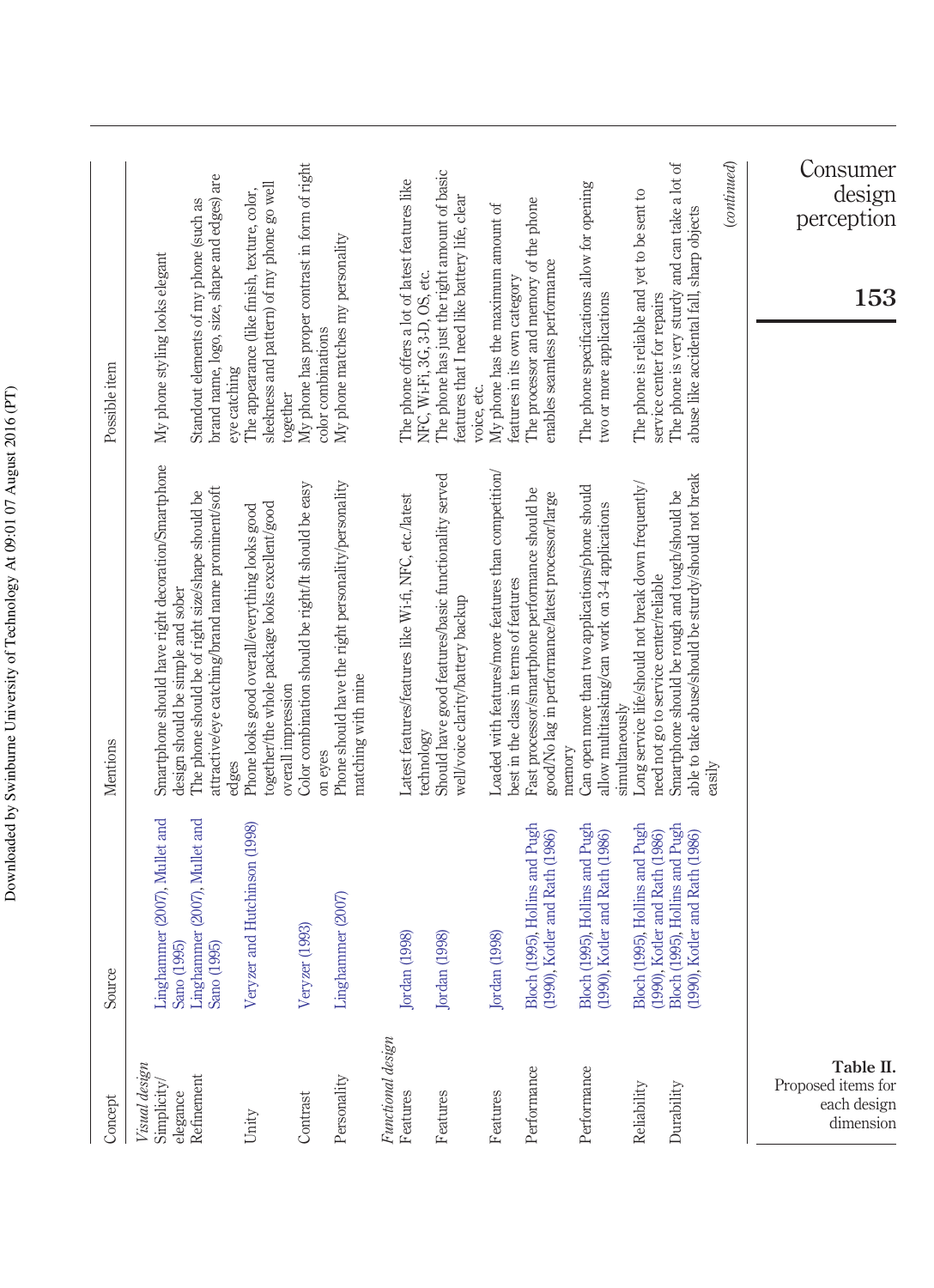| Concept                                                     | Source                                                                                                                               | Mentions                                                                                                                | Possible item                                                                                                                  |
|-------------------------------------------------------------|--------------------------------------------------------------------------------------------------------------------------------------|-------------------------------------------------------------------------------------------------------------------------|--------------------------------------------------------------------------------------------------------------------------------|
| Visual design<br>Simplicity/                                |                                                                                                                                      | Smartphone should have right decoration/Smartphone<br>design should be simple and sober                                 | My phone styling looks elegant                                                                                                 |
| elegance<br>Refinement                                      | Lingthammer (2007), Mullet and<br>Sano (1995)<br>Lingthammer (2007), Mullet and<br>Sano (1995)                                       | attractive/eye catching/brand name prominent/soft<br>The phone should be of right size/shape should be<br>edges         | brand name, logo, size, shape and edges) are<br>Standout elements of my phone (such as<br>eye catching                         |
| Unity                                                       | Veryzer and Hutchinson (1998)                                                                                                        | together/the whole package looks excellent/good<br>Phone looks good overall/everything looks good<br>overall impression | sleekness and pattern) of my phone go well<br>The appearance (like finish, texture, color,<br>together                         |
| Contrast                                                    | Veryzer (1993)                                                                                                                       | Color combination should be right/It should be easy<br>on eyes                                                          | My phone has proper contrast in form of right<br>color combinations                                                            |
| Personality                                                 | Linghammer (2007)                                                                                                                    | Phone should have the right personality/personality<br>matching with mine                                               | My phone matches my personality                                                                                                |
| Functional design<br>Features                               | Jordan (1998)                                                                                                                        | Latest features/features like Wi-fi, NFC, etc./latest                                                                   | The phone offers a lot of latest features like                                                                                 |
| Features                                                    | Jordan (1998)                                                                                                                        | Should have good features/basic functionality served<br>well/voice clarity/battery backup<br>technology                 | The phone has just the right amount of basic<br>features that I need like battery life, clear<br>NFC, Wi-Fi, 3G, 3-D, OS, etc. |
| Features                                                    | Jordan (1998)                                                                                                                        | Loaded with features/more features than competition/<br>best in the class in terms of features                          | My phone has the maximum amount of<br>features in its own category<br>voice, etc.                                              |
| Performance                                                 | Bloch (1995), Hollins and Pugh<br>(1990), Kotler and Rath (1986)                                                                     | Fast processor/smartphone performance should be<br>good/No lag in performance/latest processor/large                    | The processor and memory of the phone<br>enables seamless performance                                                          |
| Performance                                                 | Bloch (1995), Hollins and Pugh<br>(1990), Kotler and Rath (1986)                                                                     | Can open more than two applications/phone should<br>allow multitasking/can work on 3-4 applications<br>memory           | The phone specifications allow for opening<br>two or more applications                                                         |
| Reliability                                                 |                                                                                                                                      | Long service life/should not break down frequently/<br>need not go to service center/reliable<br>simultaneously         | The phone is reliable and yet to be sent to<br>service center for repairs                                                      |
| Durability                                                  | Bloch (1995), Hollins and Pugh<br>(1990), Kotler and Rath (1986)<br>Bloch (1995), Hollins and Pugh<br>(1990), Kotler and Rath (1986) | able to take abuse/should be sturdy/should not break<br>Smartphone should be rough and tough/should be                  | The phone is very sturdy and can take a lot of<br>abuse like accidental fall, sharp objects                                    |
|                                                             |                                                                                                                                      | easily                                                                                                                  | $\emph{(continued)}$                                                                                                           |
| Table II.<br>Proposed items for<br>each design<br>dimension |                                                                                                                                      |                                                                                                                         | Consumer<br>design<br>perception<br>153                                                                                        |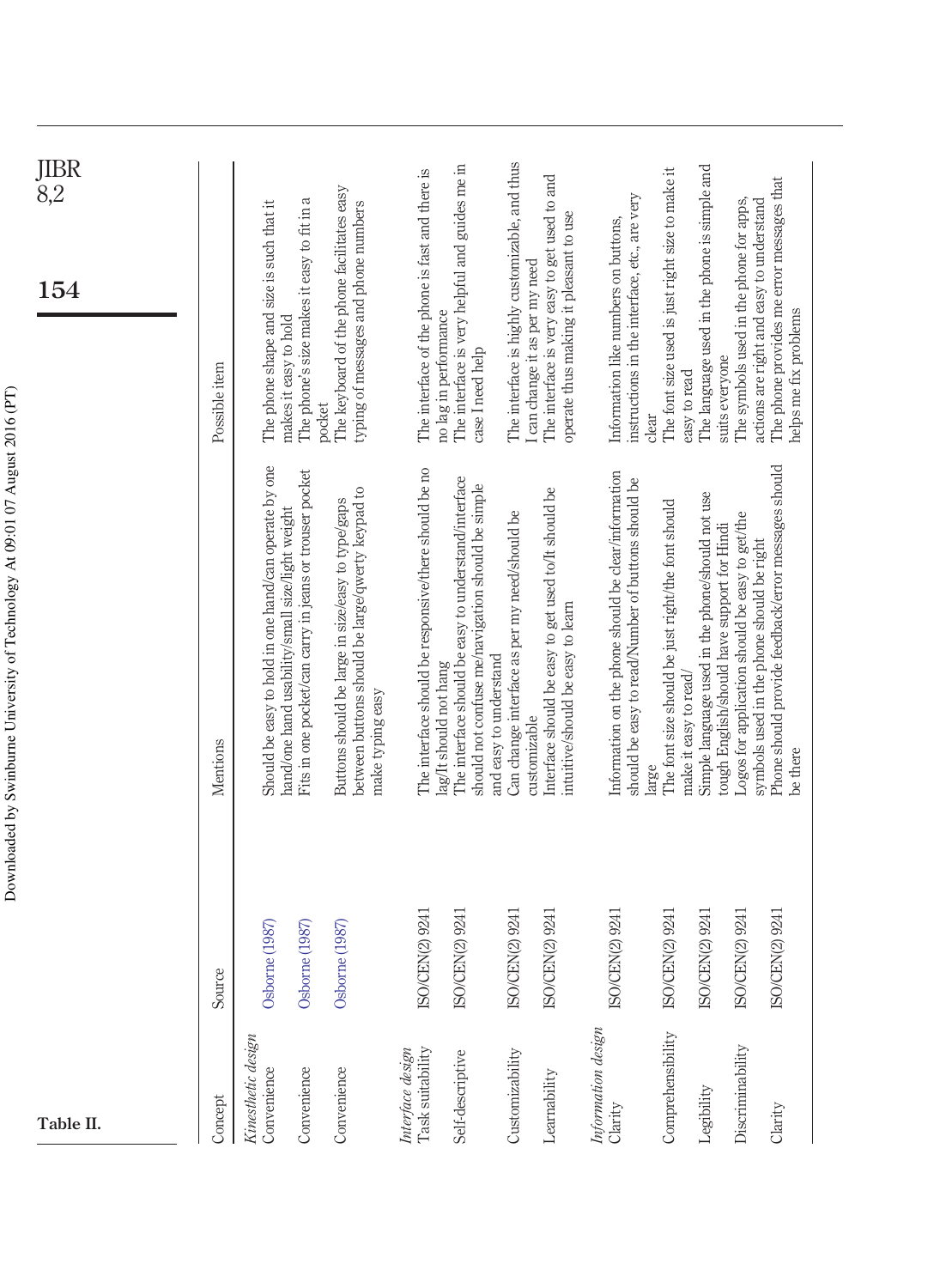| Table II.                            |                                           |                                                                                                                                     | $\overline{\text{JIBR}}$ 8,2<br>154                                                                                       |
|--------------------------------------|-------------------------------------------|-------------------------------------------------------------------------------------------------------------------------------------|---------------------------------------------------------------------------------------------------------------------------|
| Concept                              | Source                                    | Mentions                                                                                                                            | Possible item                                                                                                             |
| Kinesthetic design<br>Convenience    | Osborne (1987)                            | Should be easy to hold in one hand/can operate by one                                                                               | The phone shape and size is such that it                                                                                  |
| Convenience                          | Osborne (1987)                            | Fits in one pocket/can carry in jeans or trouser pocket<br>hand/one hand usability/small size/light weight                          | The phone's size makes it easy to fit in a<br>makes it easy to hold                                                       |
| Convenience                          | Osborne (1987)                            | between buttons should be large/qwerty keypad to<br>Buttons should be large in size/easy to type/gaps<br>make typing easy           | The keyboard of the phone facilitates easy<br>typing of messages and phone numbers<br>pocket                              |
| Task suitability<br>Interface design | )/CEN(2) 9241<br>$\approx$                | The interface should be responsive/there should be no                                                                               | The interface of the phone is fast and there is                                                                           |
| Self-descriptive                     | )/CEN(2) 9241<br>$\boxtimes$              | The interface should be easy to understand/interface<br>should not confuse me/navigation should be simple<br>lag/It should not hang | The interface is very helpful and guides me in<br>no lag in performance<br>case I need help                               |
| Customizability                      | )/CEN(2) 9241<br>$\tilde{S}$              | Can change interface as per my need/should be<br>and easy to understand                                                             | The interface is highly customizable, and thus                                                                            |
| Learnability                         | )/CEN(2) 9241<br>$\overline{\mathrm{SC}}$ | Interface should be easy to get used to/It should be<br>intuitive/should be easy to learn<br>customizable                           | The interface is very easy to get used to and<br>operate thus making it pleasant to use<br>I can change it as per my need |
| Information design<br>Clarity        | )/CEN(2) 9241<br>$\overline{\mathrm{S}}$  | Information on the phone should be clear/information<br>should be easy to read/Number of buttons should be                          | instructions in the interface, etc., are very<br>Information like numbers on buttons,                                     |
| Comprehensibility                    | )/CEN(2) 9241<br>$\overline{\mathbf{S}}$  | The font size should be just right/the font should<br>large                                                                         | The font size used is just right size to make it<br>clear                                                                 |
| Legibility                           | ISO/CEN(2) 9241                           | Simple language used in the phone/should not use<br>tough English/should have support for Hindi<br>make it easy to read/            | The language used in the phone is simple and<br>suits everyone<br>easy to read                                            |
| Discriminability                     | )/CEN(2) 9241<br>$\overline{\text{SC}}$   | Logos for application should be easy to get/the<br>symbols used in the phone should be right                                        | The symbols used in the phone for apps,<br>actions are right and easy to understand                                       |
| Clarity                              | )/CEN(2) 9241<br>$\overline{\mathrm{SC}}$ | Phone should provide feedback/error messages should<br>be there                                                                     | The phone provides me error messages that<br>helps me fix problems                                                        |
|                                      |                                           |                                                                                                                                     |                                                                                                                           |

Downloaded by Swinburne University of Technology At 09:01 07 August 2016 (PT) Downloaded by Swinburne University of Technology At 09:01 07 August 2016 (PT)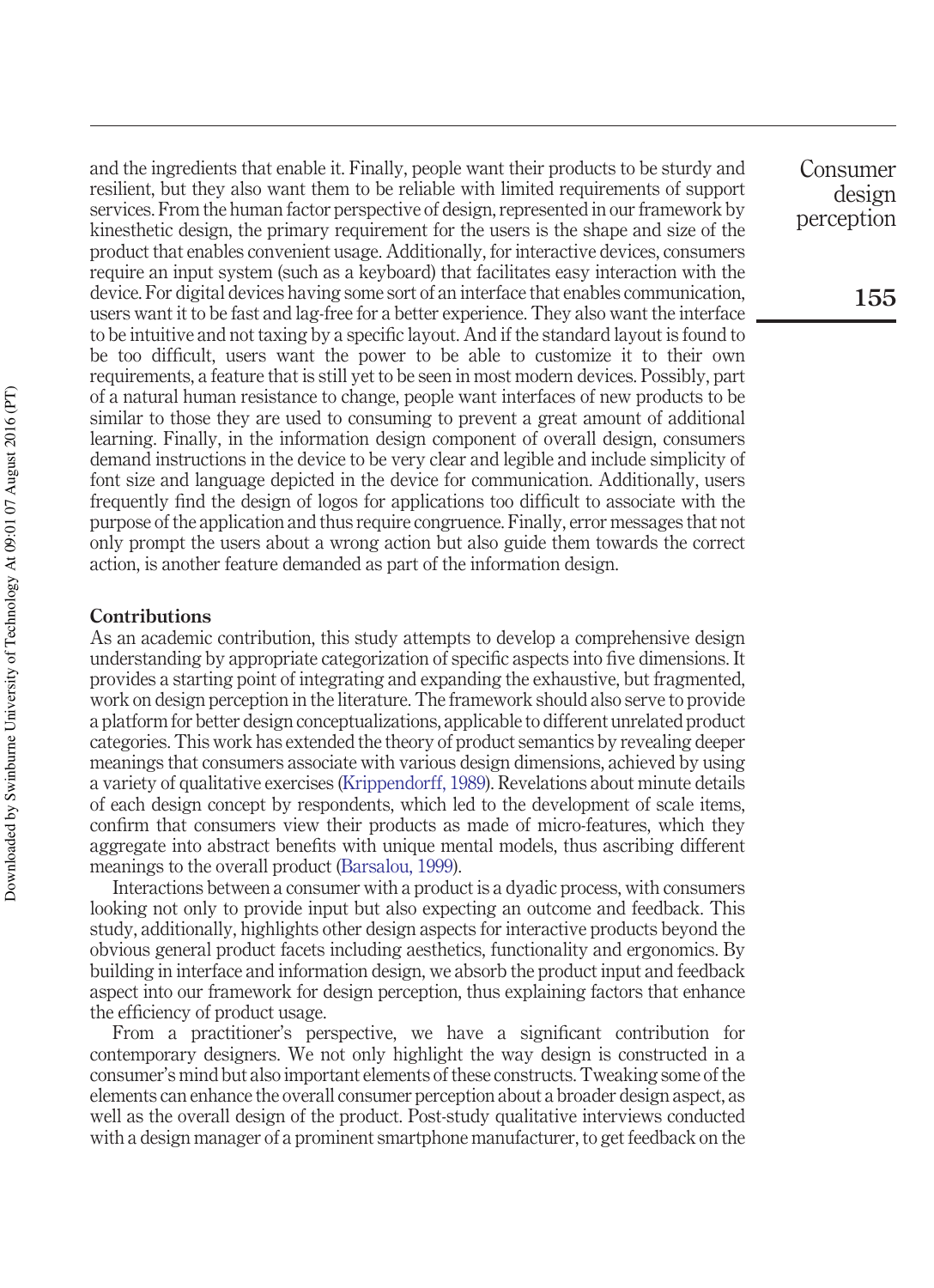and the ingredients that enable it. Finally, people want their products to be sturdy and resilient, but they also want them to be reliable with limited requirements of support services. From the human factor perspective of design, represented in our framework by kinesthetic design, the primary requirement for the users is the shape and size of the product that enables convenient usage. Additionally, for interactive devices, consumers require an input system (such as a keyboard) that facilitates easy interaction with the device. For digital devices having some sort of an interface that enables communication, users want it to be fast and lag-free for a better experience. They also want the interface to be intuitive and not taxing by a specific layout. And if the standard layout is found to be too difficult, users want the power to be able to customize it to their own requirements, a feature that is still yet to be seen in most modern devices. Possibly, part of a natural human resistance to change, people want interfaces of new products to be similar to those they are used to consuming to prevent a great amount of additional learning. Finally, in the information design component of overall design, consumers demand instructions in the device to be very clear and legible and include simplicity of font size and language depicted in the device for communication. Additionally, users frequently find the design of logos for applications too difficult to associate with the purpose of the application and thus require congruence. Finally, error messages that not only prompt the users about a wrong action but also guide them towards the correct action, is another feature demanded as part of the information design.

#### **Contributions**

As an academic contribution, this study attempts to develop a comprehensive design understanding by appropriate categorization of specific aspects into five dimensions. It provides a starting point of integrating and expanding the exhaustive, but fragmented, work on design perception in the literature. The framework should also serve to provide a platform for better design conceptualizations, applicable to different unrelated product categories. This work has extended the theory of product semantics by revealing deeper meanings that consumers associate with various design dimensions, achieved by using a variety of qualitative exercises (Krippendorff, 1989). Revelations about minute details of each design concept by respondents, which led to the development of scale items, confirm that consumers view their products as made of micro-features, which they aggregate into abstract benefits with unique mental models, thus ascribing different meanings to the overall product (Barsalou, 1999).

Interactions between a consumer with a product is a dyadic process, with consumers looking not only to provide input but also expecting an outcome and feedback. This study, additionally, highlights other design aspects for interactive products beyond the obvious general product facets including aesthetics, functionality and ergonomics. By building in interface and information design, we absorb the product input and feedback aspect into our framework for design perception, thus explaining factors that enhance the efficiency of product usage.

From a practitioner's perspective, we have a significant contribution for contemporary designers. We not only highlight the way design is constructed in a consumer's mind but also important elements of these constructs. Tweaking some of the elements can enhance the overall consumer perception about a broader design aspect, as well as the overall design of the product. Post-study qualitative interviews conducted with a design manager of a prominent smartphone manufacturer, to get feedback on the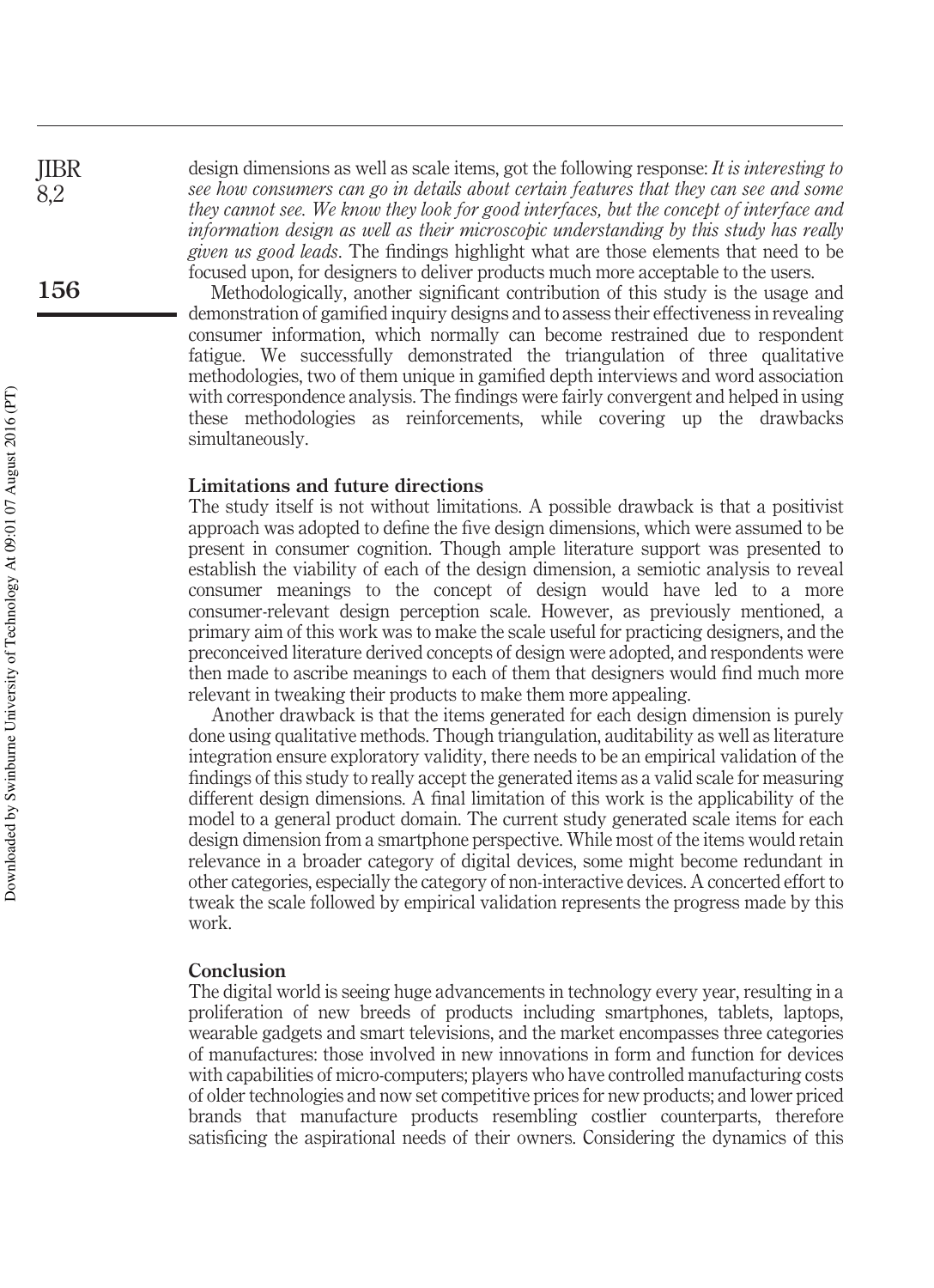design dimensions as well as scale items, got the following response: *It is interesting to see how consumers can go in details about certain features that they can see and some they cannot see. We know they look for good interfaces, but the concept of interface and information design as well as their microscopic understanding by this study has really given us good leads*. The findings highlight what are those elements that need to be focused upon, for designers to deliver products much more acceptable to the users.

Methodologically, another significant contribution of this study is the usage and demonstration of gamified inquiry designs and to assess their effectiveness in revealing consumer information, which normally can become restrained due to respondent fatigue. We successfully demonstrated the triangulation of three qualitative methodologies, two of them unique in gamified depth interviews and word association with correspondence analysis. The findings were fairly convergent and helped in using these methodologies as reinforcements, while covering up the drawbacks simultaneously.

#### **Limitations and future directions**

The study itself is not without limitations. A possible drawback is that a positivist approach was adopted to define the five design dimensions, which were assumed to be present in consumer cognition. Though ample literature support was presented to establish the viability of each of the design dimension, a semiotic analysis to reveal consumer meanings to the concept of design would have led to a more consumer-relevant design perception scale. However, as previously mentioned, a primary aim of this work was to make the scale useful for practicing designers, and the preconceived literature derived concepts of design were adopted, and respondents were then made to ascribe meanings to each of them that designers would find much more relevant in tweaking their products to make them more appealing.

Another drawback is that the items generated for each design dimension is purely done using qualitative methods. Though triangulation, auditability as well as literature integration ensure exploratory validity, there needs to be an empirical validation of the findings of this study to really accept the generated items as a valid scale for measuring different design dimensions. A final limitation of this work is the applicability of the model to a general product domain. The current study generated scale items for each design dimension from a smartphone perspective. While most of the items would retain relevance in a broader category of digital devices, some might become redundant in other categories, especially the category of non-interactive devices. A concerted effort to tweak the scale followed by empirical validation represents the progress made by this work.

#### **Conclusion**

The digital world is seeing huge advancements in technology every year, resulting in a proliferation of new breeds of products including smartphones, tablets, laptops, wearable gadgets and smart televisions, and the market encompasses three categories of manufactures: those involved in new innovations in form and function for devices with capabilities of micro-computers; players who have controlled manufacturing costs of older technologies and now set competitive prices for new products; and lower priced brands that manufacture products resembling costlier counterparts, therefore satisficing the aspirational needs of their owners. Considering the dynamics of this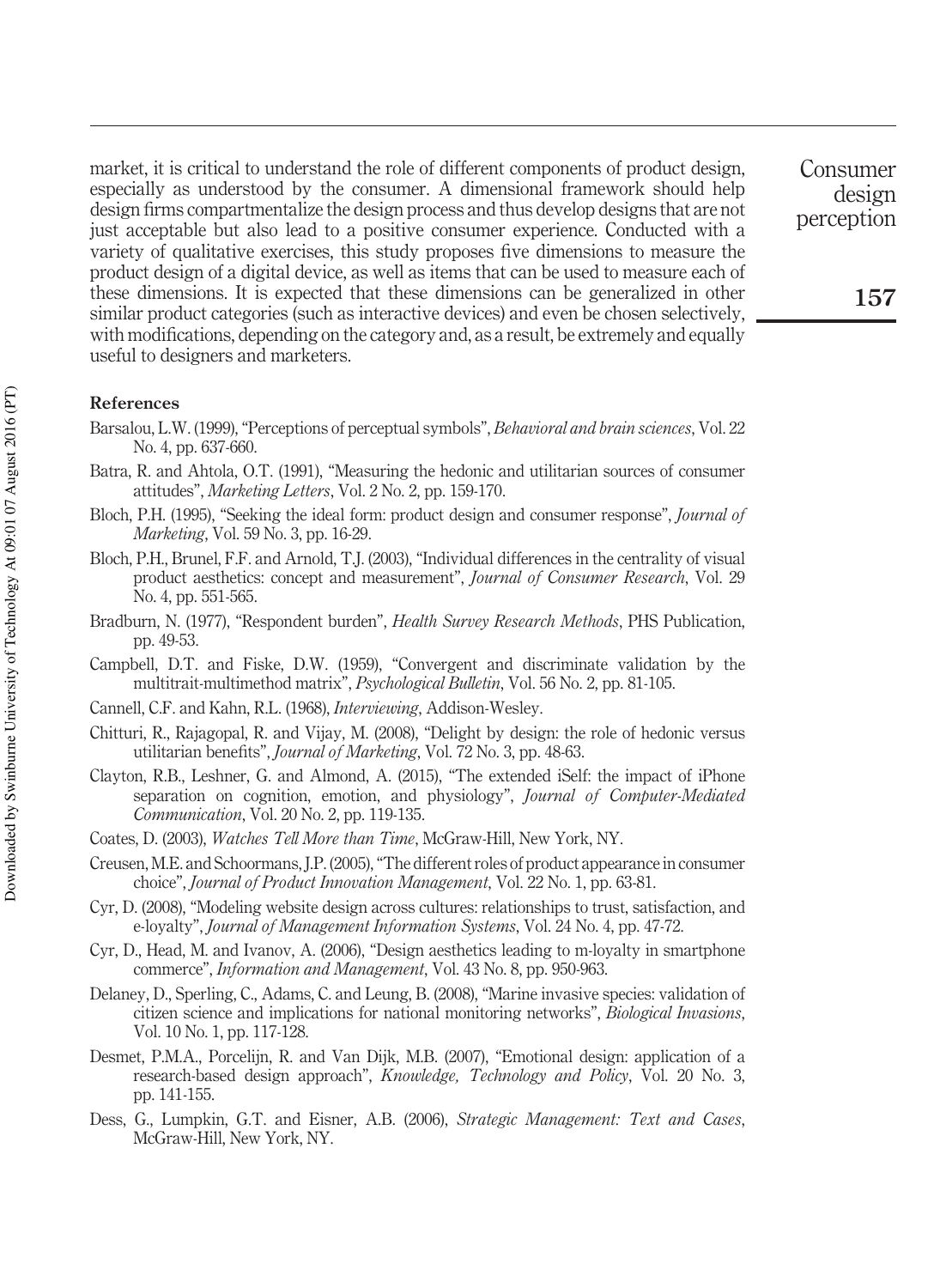market, it is critical to understand the role of different components of product design, especially as understood by the consumer. A dimensional framework should help design firms compartmentalize the design process and thus develop designs that are not just acceptable but also lead to a positive consumer experience. Conducted with a variety of qualitative exercises, this study proposes five dimensions to measure the product design of a digital device, as well as items that can be used to measure each of these dimensions. It is expected that these dimensions can be generalized in other similar product categories (such as interactive devices) and even be chosen selectively, with modifications, depending on the category and, as a result, be extremely and equally useful to designers and marketers.

#### **References**

- Barsalou, L.W. (1999), "Perceptions of perceptual symbols", *Behavioral and brain sciences*, Vol. 22 No. 4, pp. 637-660.
- Batra, R. and Ahtola, O.T. (1991), "Measuring the hedonic and utilitarian sources of consumer attitudes", *Marketing Letters*, Vol. 2 No. 2, pp. 159-170.
- Bloch, P.H. (1995), "Seeking the ideal form: product design and consumer response", *Journal of Marketing*, Vol. 59 No. 3, pp. 16-29.
- Bloch, P.H., Brunel, F.F. and Arnold, T.J. (2003), "Individual differences in the centrality of visual product aesthetics: concept and measurement", *Journal of Consumer Research*, Vol. 29 No. 4, pp. 551-565.
- Bradburn, N. (1977), "Respondent burden", *Health Survey Research Methods*, PHS Publication, pp. 49-53.
- Campbell, D.T. and Fiske, D.W. (1959), "Convergent and discriminate validation by the multitrait-multimethod matrix", *Psychological Bulletin*, Vol. 56 No. 2, pp. 81-105.
- Cannell, C.F. and Kahn, R.L. (1968), *Interviewing*, Addison-Wesley.
- Chitturi, R., Rajagopal, R. and Vijay, M. (2008), "Delight by design: the role of hedonic versus utilitarian benefits", *Journal of Marketing*, Vol. 72 No. 3, pp. 48-63.
- Clayton, R.B., Leshner, G. and Almond, A. (2015), "The extended iSelf: the impact of iPhone separation on cognition, emotion, and physiology", *Journal of Computer-Mediated Communication*, Vol. 20 No. 2, pp. 119-135.
- Coates, D. (2003), *Watches Tell More than Time*, McGraw-Hill, New York, NY.
- Creusen, M.E. and Schoormans, J.P. (2005), "The different roles of product appearance in consumer choice", *Journal of Product Innovation Management*, Vol. 22 No. 1, pp. 63-81.
- Cyr, D. (2008), "Modeling website design across cultures: relationships to trust, satisfaction, and e-loyalty", *Journal of Management Information Systems*, Vol. 24 No. 4, pp. 47-72.
- Cyr, D., Head, M. and Ivanov, A. (2006), "Design aesthetics leading to m-loyalty in smartphone commerce", *Information and Management*, Vol. 43 No. 8, pp. 950-963.
- Delaney, D., Sperling, C., Adams, C. and Leung, B. (2008), "Marine invasive species: validation of citizen science and implications for national monitoring networks", *Biological Invasions*, Vol. 10 No. 1, pp. 117-128.
- Desmet, P.M.A., Porcelijn, R. and Van Dijk, M.B. (2007), "Emotional design: application of a research-based design approach", *Knowledge, Technology and Policy*, Vol. 20 No. 3, pp. 141-155.
- Dess, G., Lumpkin, G.T. and Eisner, A.B. (2006), *Strategic Management: Text and Cases*, McGraw-Hill, New York, NY.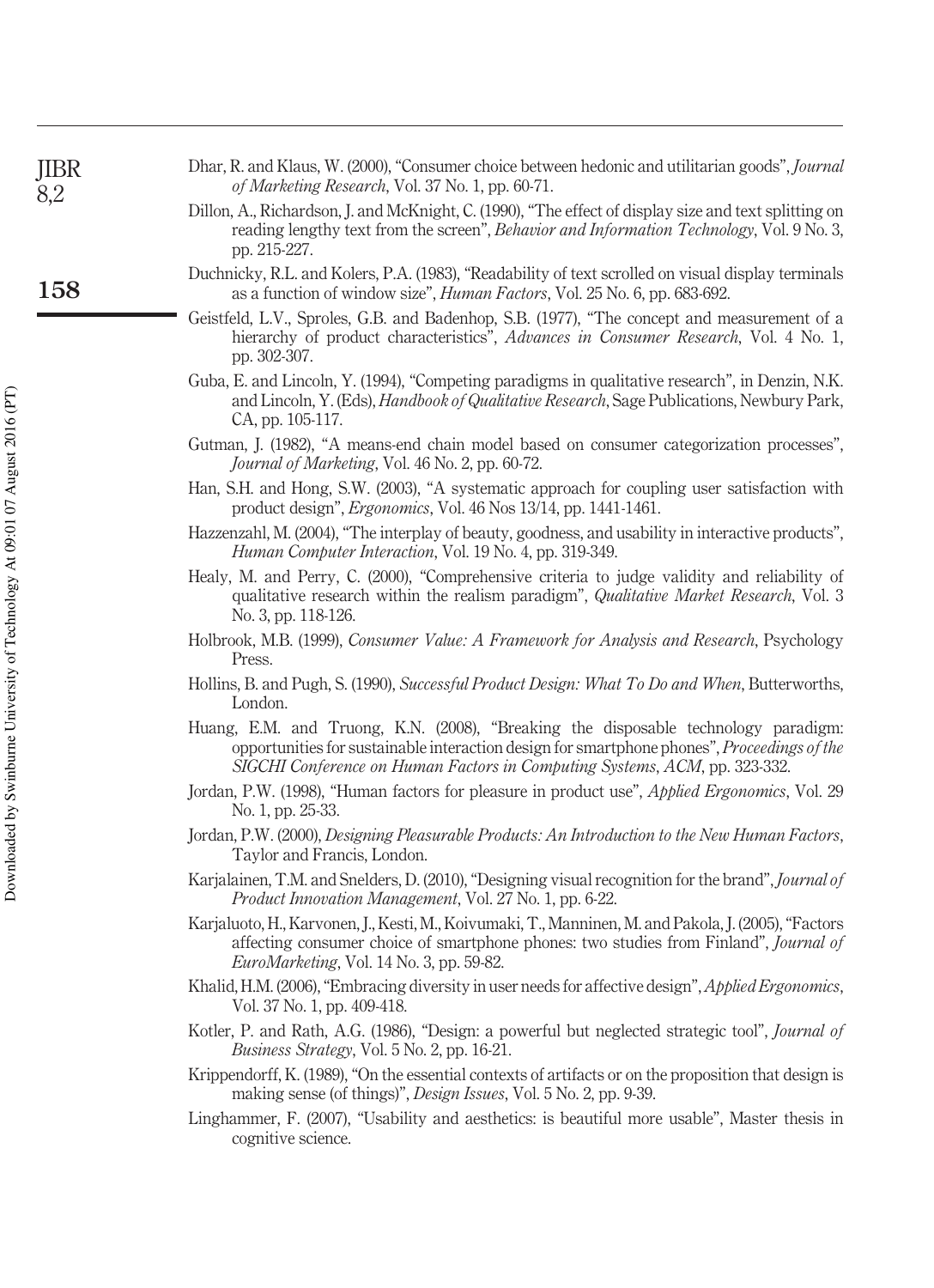| JIBR<br>8,2 | Dhar, R. and Klaus, W. (2000), "Consumer choice between hedonic and utilitarian goods", Journal<br>of Marketing Research, Vol. 37 No. 1, pp. 60-71.                                                                                                             |
|-------------|-----------------------------------------------------------------------------------------------------------------------------------------------------------------------------------------------------------------------------------------------------------------|
|             | Dillon, A., Richardson, J. and McKnight, C. (1990), "The effect of display size and text splitting on<br>reading lengthy text from the screen", Behavior and Information Technology, Vol. 9 No. 3,<br>pp. 215-227.                                              |
| 158         | Duchnicky, R.L. and Kolers, P.A. (1983), "Readability of text scrolled on visual display terminals<br>as a function of window size", <i>Human Factors</i> , Vol. 25 No. 6, pp. 683-692.                                                                         |
|             | Geistfeld, L.V., Sproles, G.B. and Badenhop, S.B. (1977), "The concept and measurement of a<br>hierarchy of product characteristics", Advances in Consumer Research, Vol. 4 No. 1,<br>pp. 302-307.                                                              |
|             | Guba, E. and Lincoln, Y. (1994), "Competing paradigms in qualitative research", in Denzin, N.K.<br>and Lincoln, Y. (Eds), <i>Handbook of Qualitative Research</i> , Sage Publications, Newbury Park,<br>CA, pp. 105-117.                                        |
|             | Gutman, J. (1982), "A means-end chain model based on consumer categorization processes",<br>Journal of Marketing, Vol. 46 No. 2, pp. 60-72.                                                                                                                     |
|             | Han, S.H. and Hong, S.W. (2003), "A systematic approach for coupling user satisfaction with<br>product design", <i>Ergonomics</i> , Vol. 46 Nos 13/14, pp. 1441-1461.                                                                                           |
|             | Hazzenzahl, M. (2004), "The interplay of beauty, goodness, and usability in interactive products",<br>Human Computer Interaction, Vol. 19 No. 4, pp. 319-349.                                                                                                   |
|             | Healy, M. and Perry, C. (2000), "Comprehensive criteria to judge validity and reliability of<br>qualitative research within the realism paradigm", Qualitative Market Research, Vol. 3<br>No. 3, pp. 118-126.                                                   |
|             | Holbrook, M.B. (1999), Consumer Value: A Framework for Analysis and Research, Psychology<br>Press.                                                                                                                                                              |
|             | Hollins, B. and Pugh, S. (1990), Successful Product Design: What To Do and When, Butterworths,<br>London.                                                                                                                                                       |
|             | Huang, E.M. and Truong, K.N. (2008), "Breaking the disposable technology paradigm:<br>opportunities for sustainable interaction design for smartphone phones", Proceedings of the<br>SIGCHI Conference on Human Factors in Computing Systems, ACM, pp. 323-332. |
|             | Jordan, P.W. (1998), "Human factors for pleasure in product use", <i>Applied Ergonomics</i> , Vol. 29<br>No. 1, pp. 25-33.                                                                                                                                      |
|             | Jordan, P.W. (2000), Designing Pleasurable Products: An Introduction to the New Human Factors,<br>Taylor and Francis, London.                                                                                                                                   |
|             | Karjalainen, T.M. and Snelders, D. (2010), "Designing visual recognition for the brand", Journal of<br><i>Product Innovation Management, Vol. 27 No. 1, pp. 6-22.</i>                                                                                           |
|             | Karjaluoto, H., Karvonen, J., Kesti, M., Koivumaki, T., Manninen, M. and Pakola, J. (2005), "Factors<br>affecting consumer choice of smartphone phones: two studies from Finland", Journal of<br>EuroMarketing, Vol. 14 No. 3, pp. 59-82.                       |
|             | Khalid, H.M. (2006), "Embracing diversity in user needs for affective design", Applied Ergonomics,<br>Vol. 37 No. 1, pp. 409-418.                                                                                                                               |
|             | Kotler, P. and Rath, A.G. (1986), "Design: a powerful but neglected strategic tool", Journal of<br>Business Strategy, Vol. 5 No. 2, pp. 16-21.                                                                                                                  |
|             | Krippendorff, K. (1989), "On the essential contexts of artifacts or on the proposition that design is<br>making sense (of things)", <i>Design Issues</i> , Vol. 5 No. 2, pp. 9-39.                                                                              |
|             | Linghammer, F. (2007), "Usability and aesthetics: is beautiful more usable", Master thesis in<br>cognitive science.                                                                                                                                             |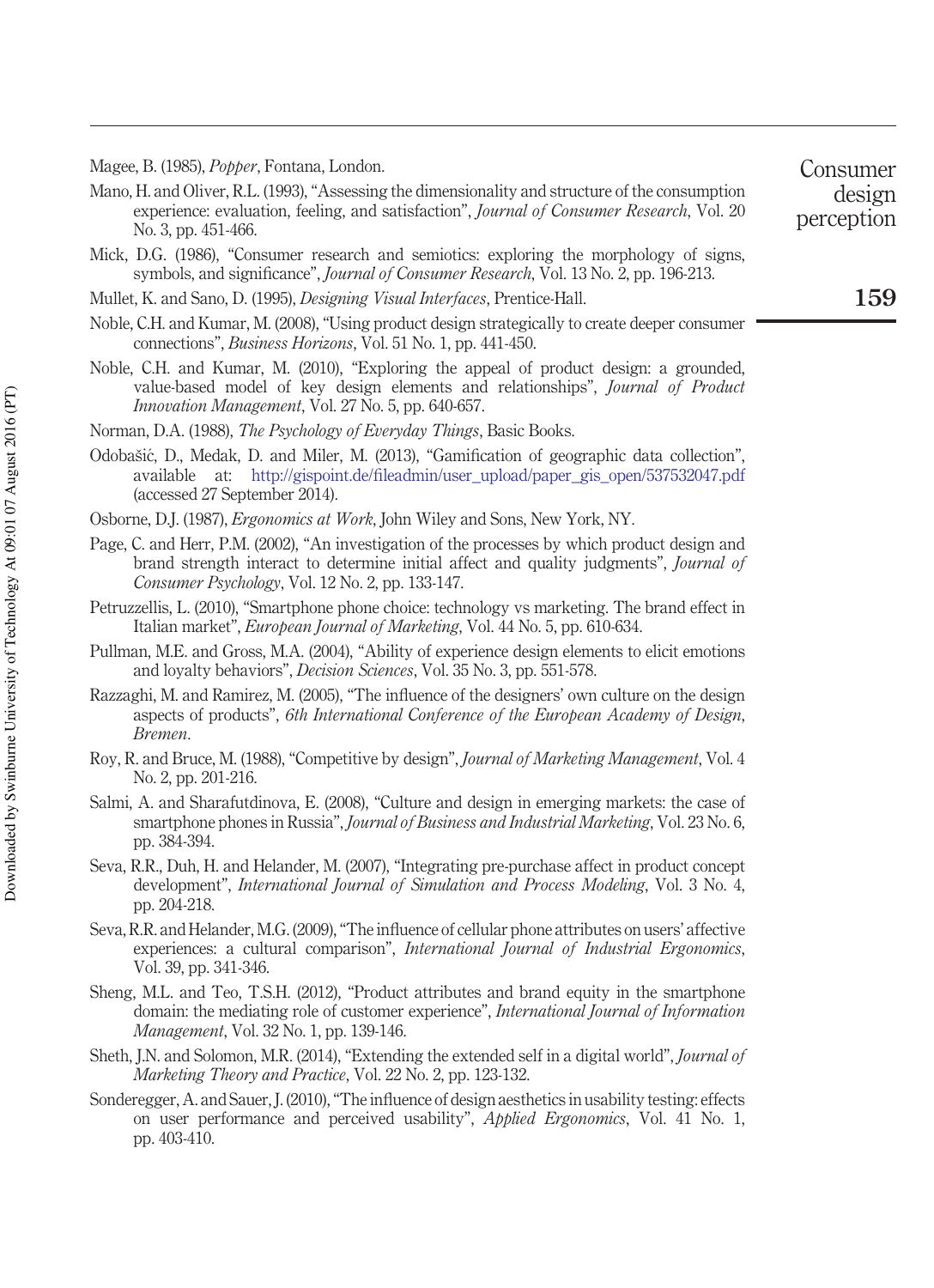Magee, B. (1985), *Popper*, Fontana, London.

Mano, H. and Oliver, R.L. (1993), "Assessing the dimensionality and structure of the consumption experience: evaluation, feeling, and satisfaction", *Journal of Consumer Research*, Vol. 20 No. 3, pp. 451-466.

Mick, D.G. (1986), "Consumer research and semiotics: exploring the morphology of signs, symbols, and significance", *Journal of Consumer Research*, Vol. 13 No. 2, pp. 196-213.

Mullet, K. and Sano, D. (1995), *Designing Visual Interfaces*, Prentice-Hall.

- Noble, C.H. and Kumar, M. (2008), "Using product design strategically to create deeper consumer connections", *Business Horizons*, Vol. 51 No. 1, pp. 441-450.
- Noble, C.H. and Kumar, M. (2010), "Exploring the appeal of product design: a grounded, value-based model of key design elements and relationships", *Journal of Product Innovation Management*, Vol. 27 No. 5, pp. 640-657.
- Norman, D.A. (1988), *The Psychology of Everyday Things*, Basic Books.
- Odobašic, D., Medak, D. and Miler, M. (2013), "Gamification of geographic data collection", ´ available at: [http://gispoint.de/fileadmin/user\\_upload/paper\\_gis\\_open/537532047.pdf](http://gispoint.de/fileadmin/user_upload/paper_gis_open/537532047.pdf) (accessed 27 September 2014).
- Osborne, D.J. (1987), *Ergonomics at Work*, John Wiley and Sons, New York, NY.
- Page, C. and Herr, P.M. (2002), "An investigation of the processes by which product design and brand strength interact to determine initial affect and quality judgments", *Journal of Consumer Psychology*, Vol. 12 No. 2, pp. 133-147.
- Petruzzellis, L. (2010), "Smartphone phone choice: technology vs marketing. The brand effect in Italian market", *European Journal of Marketing*, Vol. 44 No. 5, pp. 610-634.
- Pullman, M.E. and Gross, M.A. (2004), "Ability of experience design elements to elicit emotions and loyalty behaviors", *Decision Sciences*, Vol. 35 No. 3, pp. 551-578.
- Razzaghi, M. and Ramirez, M. (2005), "The influence of the designers' own culture on the design aspects of products", *6th International Conference of the European Academy of Design*, *Bremen*.
- Roy, R. and Bruce, M. (1988), "Competitive by design", *Journal of Marketing Management*, Vol. 4 No. 2, pp. 201-216.
- Salmi, A. and Sharafutdinova, E. (2008), "Culture and design in emerging markets: the case of smartphone phones in Russia", *Journal of Business and Industrial Marketing*, Vol. 23 No. 6, pp. 384-394.
- Seva, R.R., Duh, H. and Helander, M. (2007), "Integrating pre-purchase affect in product concept development", *International Journal of Simulation and Process Modeling*, Vol. 3 No. 4, pp. 204-218.
- Seva, R.R. and Helander, M.G. (2009), "The influence of cellular phone attributes on users' affective experiences: a cultural comparison", *International Journal of Industrial Ergonomics*, Vol. 39, pp. 341-346.
- Sheng, M.L. and Teo, T.S.H. (2012), "Product attributes and brand equity in the smartphone domain: the mediating role of customer experience", *International Journal of Information Management*, Vol. 32 No. 1, pp. 139-146.
- Sheth, J.N. and Solomon, M.R. (2014), "Extending the extended self in a digital world", *Journal of Marketing Theory and Practice*, Vol. 22 No. 2, pp. 123-132.
- Sonderegger, A. and Sauer, J. (2010), "The influence of design aesthetics in usability testing: effects on user performance and perceived usability", *Applied Ergonomics*, Vol. 41 No. 1, pp. 403-410.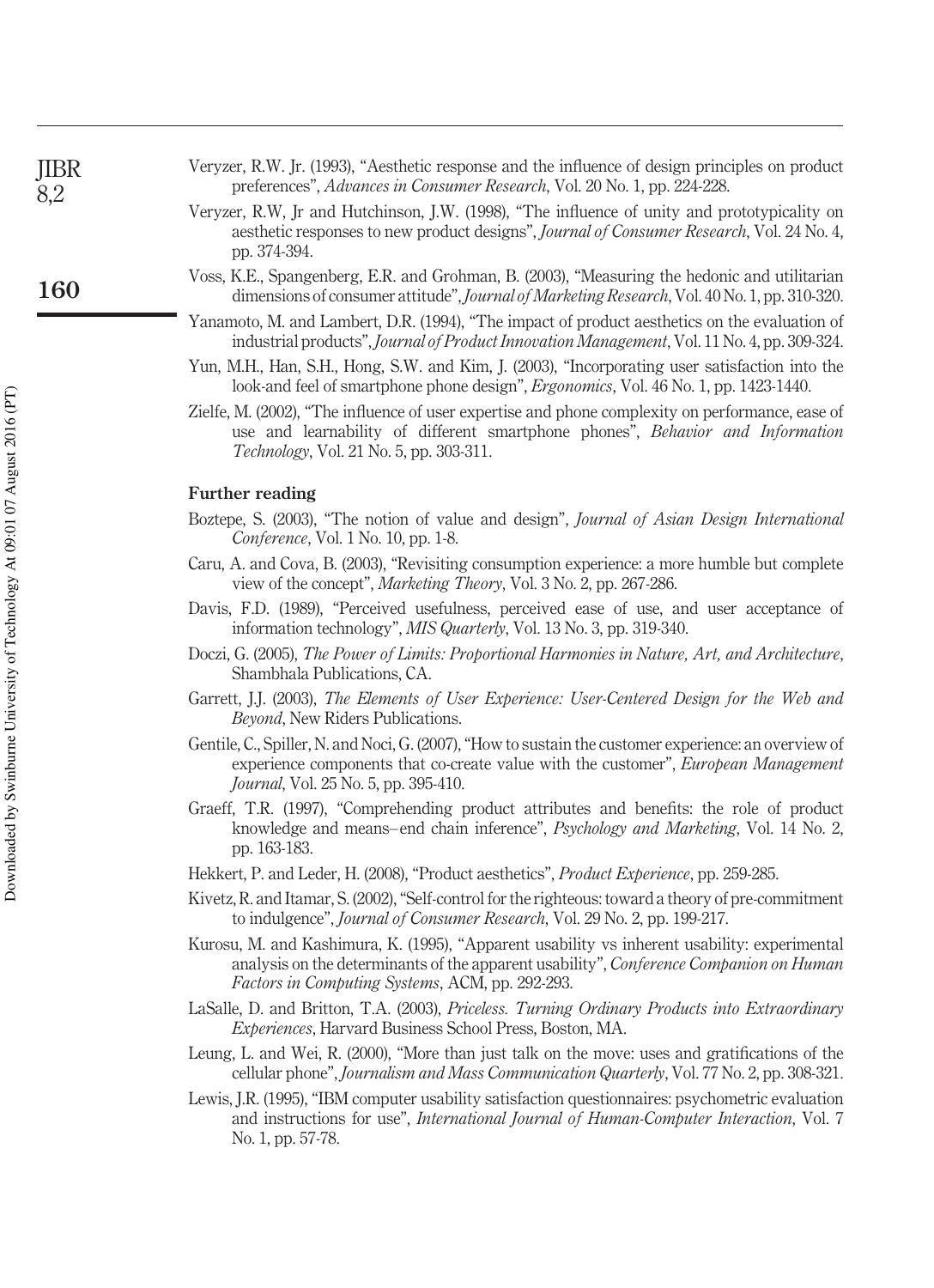| <b>JIBR</b> | Veryzer, R.W. Jr. (1993), "Aesthetic response and the influence of design principles on product |
|-------------|-------------------------------------------------------------------------------------------------|
| 8,2         | preferences", <i>Advances in Consumer Research</i> , Vol. 20 No. 1, pp. 224-228.                |

- Veryzer, R.W, Jr and Hutchinson, J.W. (1998), "The influence of unity and prototypicality on aesthetic responses to new product designs", *Journal of Consumer Research*, Vol. 24 No. 4, pp. 374-394.
- Voss, K.E., Spangenberg, E.R. and Grohman, B. (2003), "Measuring the hedonic and utilitarian dimensions of consumer attitude",*Journal of Marketing Research*, Vol. 40 No. 1, pp. 310-320.
- Yanamoto, M. and Lambert, D.R. (1994), "The impact of product aesthetics on the evaluation of industrial products", *Journal of Product Innovation Management*, Vol. 11 No. 4, pp. 309-324.
- Yun, M.H., Han, S.H., Hong, S.W. and Kim, J. (2003), "Incorporating user satisfaction into the look-and feel of smartphone phone design", *Ergonomics*, Vol. 46 No. 1, pp. 1423-1440.
- Zielfe, M. (2002), "The influence of user expertise and phone complexity on performance, ease of use and learnability of different smartphone phones", *Behavior and Information Technology*, Vol. 21 No. 5, pp. 303-311.

#### **Further reading**

- Boztepe, S. (2003), "The notion of value and design", *Journal of Asian Design International Conference*, Vol. 1 No. 10, pp. 1-8.
- Caru, A. and Cova, B. (2003), "Revisiting consumption experience: a more humble but complete view of the concept", *Marketing Theory*, Vol. 3 No. 2, pp. 267-286.
- Davis, F.D. (1989), "Perceived usefulness, perceived ease of use, and user acceptance of information technology", *MIS Quarterly*, Vol. 13 No. 3, pp. 319-340.
- Doczi, G. (2005), *The Power of Limits: Proportional Harmonies in Nature, Art, and Architecture*, Shambhala Publications, CA.
- Garrett, J.J. (2003), *The Elements of User Experience: User-Centered Design for the Web and Beyond*, New Riders Publications.
- Gentile, C., Spiller, N. and Noci, G. (2007), "How to sustain the customer experience: an overview of experience components that co-create value with the customer", *European Management Journal*, Vol. 25 No. 5, pp. 395-410.
- Graeff, T.R. (1997), "Comprehending product attributes and benefits: the role of product knowledge and means– end chain inference", *Psychology and Marketing*, Vol. 14 No. 2, pp. 163-183.
- Hekkert, P. and Leder, H. (2008), "Product aesthetics", *Product Experience*, pp. 259-285.
- Kivetz, R. and Itamar, S. (2002), "Self-control for the righteous: toward a theory of pre-commitment to indulgence", *Journal of Consumer Research*, Vol. 29 No. 2, pp. 199-217.
- Kurosu, M. and Kashimura, K. (1995), "Apparent usability vs inherent usability: experimental analysis on the determinants of the apparent usability", *Conference Companion on Human Factors in Computing Systems*, ACM, pp. 292-293.
- LaSalle, D. and Britton, T.A. (2003), *Priceless. Turning Ordinary Products into Extraordinary Experiences*, Harvard Business School Press, Boston, MA.
- Leung, L. and Wei, R. (2000), "More than just talk on the move: uses and gratifications of the cellular phone", *Journalism and Mass Communication Quarterly*, Vol. 77 No. 2, pp. 308-321.
- Lewis, J.R. (1995), "IBM computer usability satisfaction questionnaires: psychometric evaluation and instructions for use", *International Journal of Human-Computer Interaction*, Vol. 7 No. 1, pp. 57-78.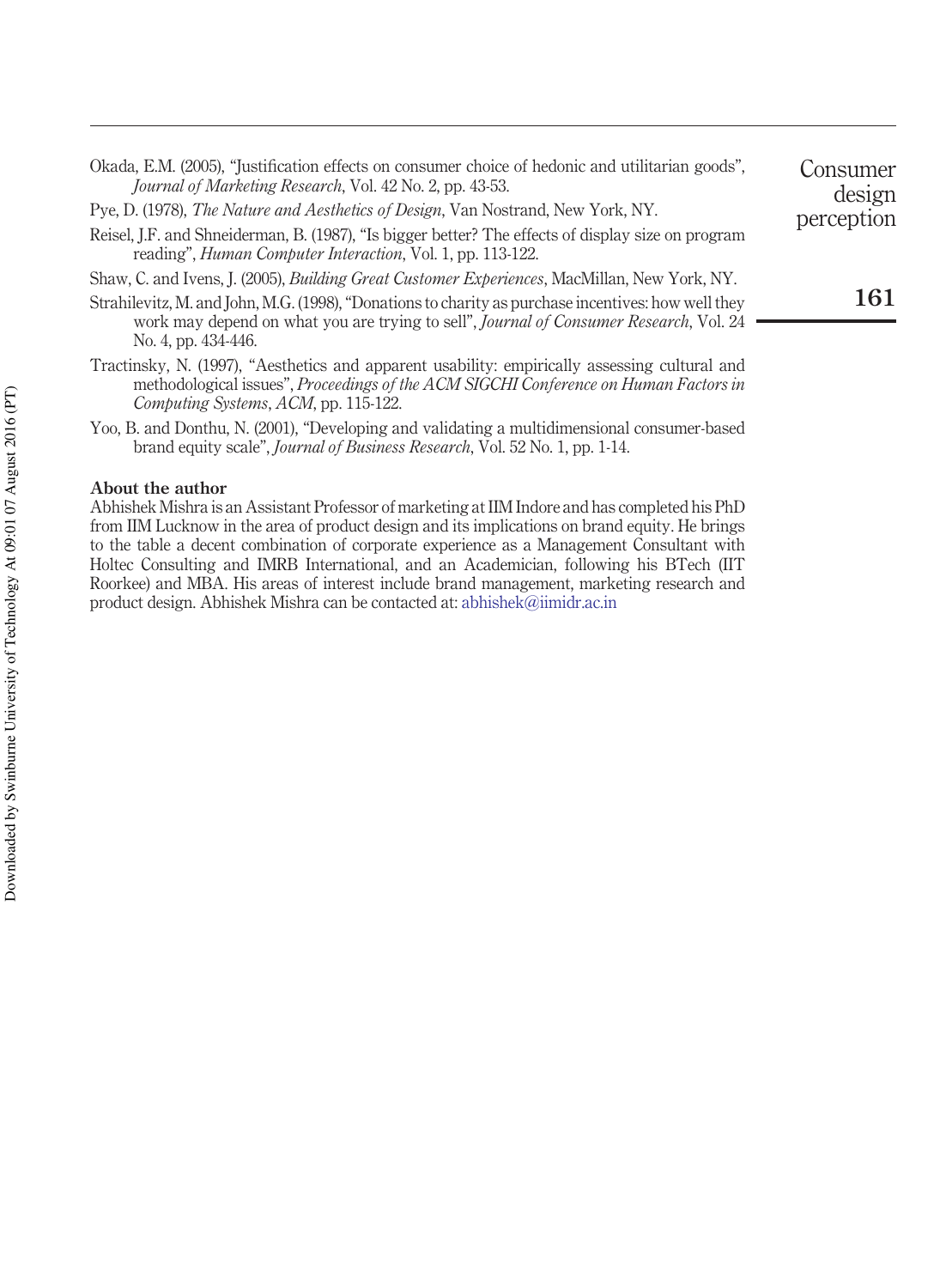| Okada, E.M. (2005), "Justification effects on consumer choice of hedonic and utilitarian goods".<br>Journal of Marketing Research, Vol. 42 No. 2, pp. 43-53.                                                                         | Jonsumer<br>design |
|--------------------------------------------------------------------------------------------------------------------------------------------------------------------------------------------------------------------------------------|--------------------|
| Pye, D. (1978), The Nature and Aesthetics of Design, Van Nostrand, New York, NY.                                                                                                                                                     | perception         |
| Reisel, J.F. and Shneiderman, B. (1987), "Is bigger better? The effects of display size on program<br>reading", <i>Human Computer Interaction</i> , Vol. 1, pp. 113-122.                                                             |                    |
| Shaw, C. and Ivens, J. (2005), <i>Building Great Customer Experiences</i> , MacMillan, New York, NY.                                                                                                                                 |                    |
| Strahilevitz, M. and John, M.G. (1998), "Donations to charity as purchase incentives: how well they<br>work may depend on what you are trying to sell", <i>Journal of Consumer Research</i> , Vol. 24<br>No. 4, pp. 434-446.         | 161                |
| Tractinsky, N. (1997), "Aesthetics and apparent usability: empirically assessing cultural and<br>methodological issues", Proceedings of the ACM SIGCHI Conference on Human Factors in<br><i>Computing Systems, ACM, pp. 115-122.</i> |                    |
| Yoo, B. and Donthu, N. (2001), "Developing and validating a multidimensional consumer-based<br>brand equity scale", <i>Journal of Business Research</i> , Vol. 52 No. 1, pp. 1-14.                                                   |                    |
| About the author                                                                                                                                                                                                                     |                    |

Abhishek Mishra is an Assistant Professor of marketing at IIM Indore and has completed his PhD from IIM Lucknow in the area of product design and its implications on brand equity. He brings to the table a decent combination of corporate experience as a Management Consultant with Holtec Consulting and IMRB International, and an Academician, following his BTech (IIT Roorkee) and MBA. His areas of interest include brand management, marketing research and product design. Abhishek Mishra can be contacted at: [abhishek@iimidr.ac.in](mailto:abhishek@iimidr.ac.in)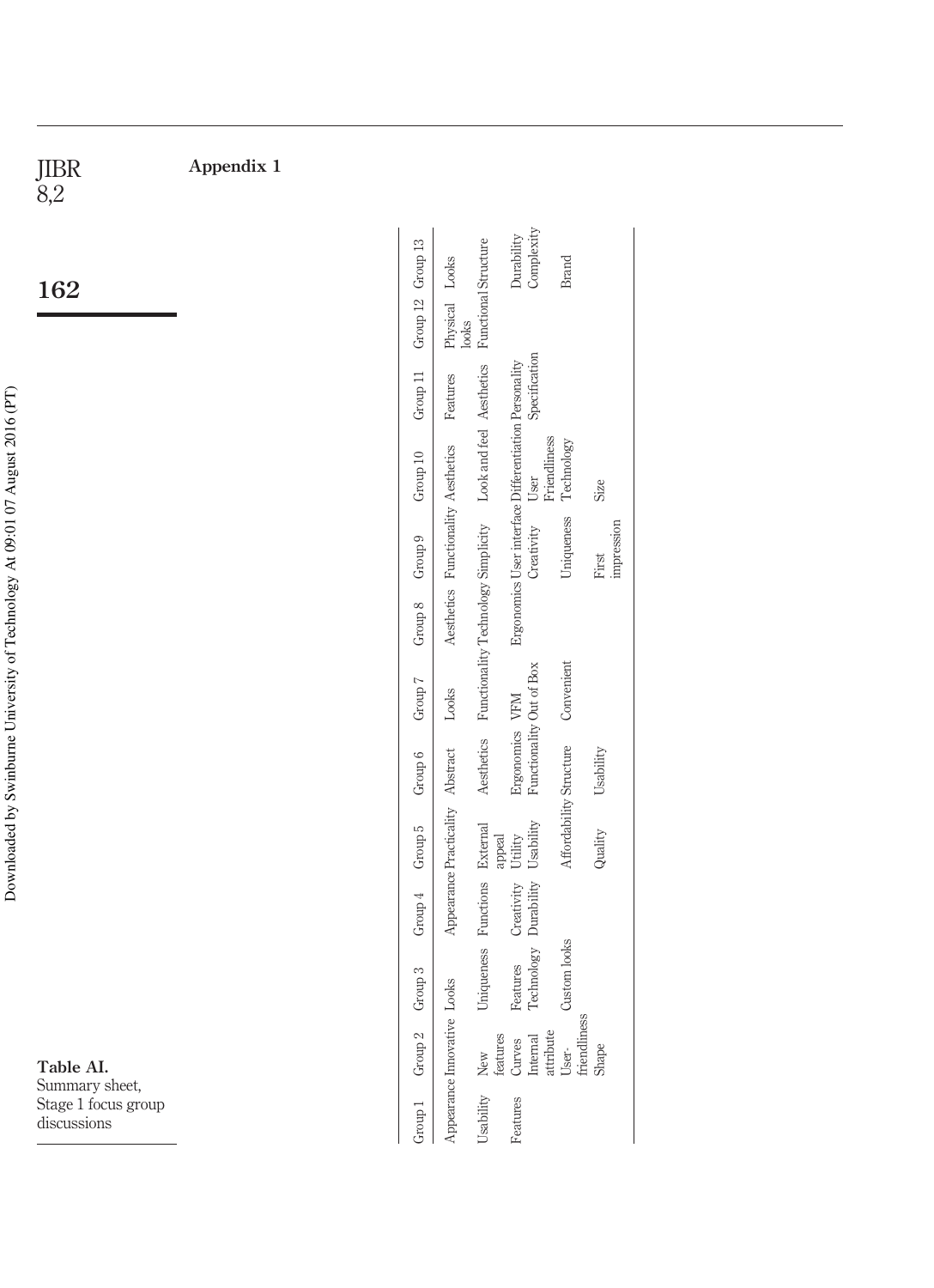| JIBR<br>8,2                        | Appendix 1 |                    |                                     |                                                              |                                                                     |                         |                     |
|------------------------------------|------------|--------------------|-------------------------------------|--------------------------------------------------------------|---------------------------------------------------------------------|-------------------------|---------------------|
| 162                                |            | Group 12 Group 13  | Physical Looks                      | Functional Structure                                         | Complexity<br>Durability                                            | <b>Brand</b>            |                     |
|                                    |            |                    | looks                               |                                                              |                                                                     |                         |                     |
|                                    |            | Group 11           | Features                            |                                                              | Specification                                                       |                         |                     |
|                                    |            | Group 10           |                                     |                                                              | Friendliness<br>User                                                | Technology              | Size                |
|                                    |            | Group 9            | Aesthetics Functionality Aesthetics | Functionality Technology Simplicity Look and feel Aesthetics | Ergonomics User interface Differentiation Personality<br>Creativity | Uniqueness              | impression<br>First |
|                                    |            | Group 8            |                                     |                                                              |                                                                     |                         |                     |
|                                    |            | Group 7            | Looks                               |                                                              |                                                                     | Convenient              |                     |
|                                    |            | Group 6            |                                     | Aesthetics                                                   | Functionality Out of Box<br>Ergonomics VFM                          |                         | Usability           |
|                                    |            | Group 5            | Appearance Practicality Abstract    | appeal                                                       | Usability<br>Utility                                                | Affordability Structure | Quality             |
|                                    |            | Group 4            |                                     | Functions External                                           | Durability<br>Creativity                                            |                         |                     |
|                                    |            | Group 3            |                                     | Uniqueness                                                   | Technology<br>Features                                              | Custom looks            |                     |
| Table AI.<br>Summary sheet,        |            | Group <sub>2</sub> | Appearance Innovative Looks         | features<br>New                                              | attribute<br>Internal<br>Curves                                     | friendliness<br>User-   | Shape               |
| Stage 1 focus group<br>discussions |            | Group 1            |                                     | Usability                                                    | Features                                                            |                         |                     |

Downloaded by Swinburne University of Technology At 09:01 07 August 2016 (PT) Downloaded by Swinburne University of Technology At 09:01 07 August 2016 (PT)